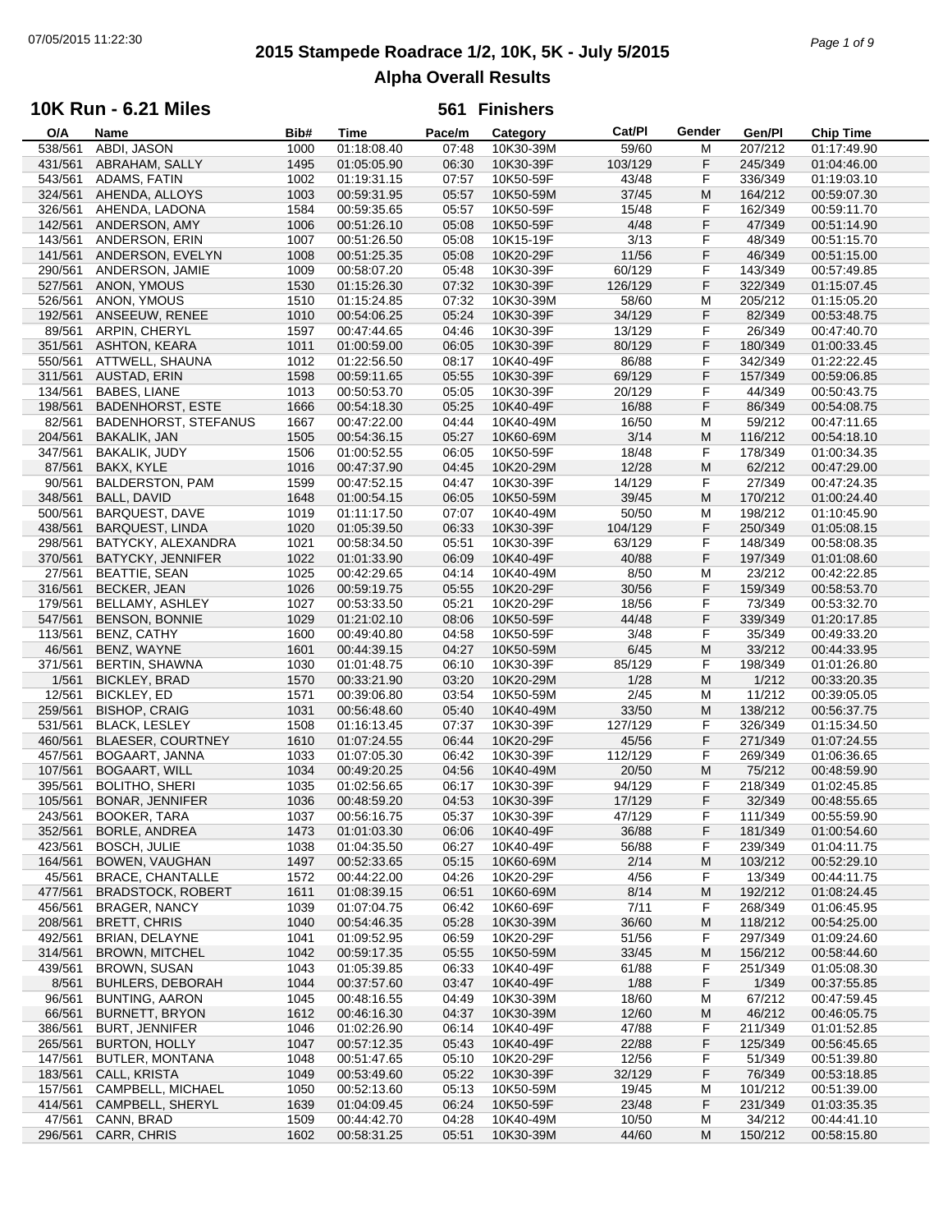# **2015 Stampede Roadrace 1/2, 10K, 5K - July 5/2015** 07/05/2015 11:22:30 *Page 1 of 9* **Alpha Overall Results**

## **10K Run - 6.21 Miles**

| O/A     | Name                        | Bib# | Time        | Pace/m | Category  | Cat/PI  | Gender | Gen/Pl  | <b>Chip Time</b> |
|---------|-----------------------------|------|-------------|--------|-----------|---------|--------|---------|------------------|
| 538/561 | ABDI, JASON                 | 1000 | 01:18:08.40 | 07:48  | 10K30-39M | 59/60   | M      | 207/212 | 01:17:49.90      |
| 431/561 | ABRAHAM, SALLY              | 1495 | 01:05:05.90 | 06:30  | 10K30-39F | 103/129 | F      | 245/349 | 01:04:46.00      |
| 543/561 | ADAMS, FATIN                | 1002 | 01:19:31.15 | 07:57  | 10K50-59F | 43/48   | F      | 336/349 | 01:19:03.10      |
| 324/561 | AHENDA, ALLOYS              | 1003 | 00:59:31.95 | 05:57  | 10K50-59M | 37/45   | M      | 164/212 | 00:59:07.30      |
| 326/561 | AHENDA, LADONA              | 1584 | 00:59:35.65 | 05:57  | 10K50-59F | 15/48   | F      | 162/349 | 00:59:11.70      |
|         |                             |      |             |        |           |         |        |         |                  |
| 142/561 | ANDERSON, AMY               | 1006 | 00:51:26.10 | 05:08  | 10K50-59F | 4/48    | F      | 47/349  | 00:51:14.90      |
| 143/561 | ANDERSON, ERIN              | 1007 | 00:51:26.50 | 05:08  | 10K15-19F | 3/13    | F      | 48/349  | 00:51:15.70      |
| 141/561 | ANDERSON, EVELYN            | 1008 | 00:51:25.35 | 05:08  | 10K20-29F | 11/56   | F      | 46/349  | 00:51:15.00      |
| 290/561 | ANDERSON, JAMIE             | 1009 | 00:58:07.20 | 05:48  | 10K30-39F | 60/129  | F      | 143/349 | 00:57:49.85      |
| 527/561 | <b>ANON, YMOUS</b>          | 1530 | 01:15:26.30 | 07:32  | 10K30-39F | 126/129 | F      | 322/349 | 01:15:07.45      |
| 526/561 | ANON, YMOUS                 | 1510 | 01:15:24.85 | 07:32  | 10K30-39M | 58/60   | M      | 205/212 | 01:15:05.20      |
| 192/561 | ANSEEUW, RENEE              | 1010 | 00:54:06.25 | 05:24  | 10K30-39F | 34/129  | F      | 82/349  | 00:53:48.75      |
| 89/561  | ARPIN, CHERYL               | 1597 | 00:47:44.65 | 04:46  | 10K30-39F | 13/129  | F      | 26/349  | 00:47:40.70      |
| 351/561 | <b>ASHTON, KEARA</b>        | 1011 | 01:00:59.00 | 06:05  | 10K30-39F | 80/129  | F      | 180/349 | 01:00:33.45      |
|         |                             |      |             |        |           |         |        |         |                  |
| 550/561 | ATTWELL, SHAUNA             | 1012 | 01:22:56.50 | 08:17  | 10K40-49F | 86/88   | F      | 342/349 | 01:22:22.45      |
| 311/561 | AUSTAD, ERIN                | 1598 | 00:59:11.65 | 05:55  | 10K30-39F | 69/129  | F      | 157/349 | 00:59:06.85      |
| 134/561 | <b>BABES, LIANE</b>         | 1013 | 00:50:53.70 | 05:05  | 10K30-39F | 20/129  | F      | 44/349  | 00:50:43.75      |
| 198/561 | <b>BADENHORST, ESTE</b>     | 1666 | 00:54:18.30 | 05:25  | 10K40-49F | 16/88   | F      | 86/349  | 00:54:08.75      |
| 82/561  | <b>BADENHORST, STEFANUS</b> | 1667 | 00:47:22.00 | 04:44  | 10K40-49M | 16/50   | М      | 59/212  | 00:47:11.65      |
| 204/561 | BAKALIK, JAN                | 1505 | 00:54:36.15 | 05:27  | 10K60-69M | 3/14    | M      | 116/212 | 00:54:18.10      |
| 347/561 | <b>BAKALIK, JUDY</b>        | 1506 | 01:00:52.55 | 06:05  | 10K50-59F | 18/48   | F      | 178/349 | 01:00:34.35      |
| 87/561  | BAKX, KYLE                  | 1016 | 00:47:37.90 | 04:45  | 10K20-29M | 12/28   | M      | 62/212  | 00:47:29.00      |
| 90/561  | <b>BALDERSTON, PAM</b>      | 1599 | 00:47:52.15 | 04:47  | 10K30-39F | 14/129  | F      | 27/349  | 00:47:24.35      |
|         |                             |      |             |        |           |         |        |         |                  |
| 348/561 | <b>BALL, DAVID</b>          | 1648 | 01:00:54.15 | 06:05  | 10K50-59M | 39/45   | M      | 170/212 | 01:00:24.40      |
| 500/561 | <b>BARQUEST, DAVE</b>       | 1019 | 01:11:17.50 | 07:07  | 10K40-49M | 50/50   | M      | 198/212 | 01:10:45.90      |
| 438/561 | <b>BARQUEST, LINDA</b>      | 1020 | 01:05:39.50 | 06:33  | 10K30-39F | 104/129 | F      | 250/349 | 01:05:08.15      |
| 298/561 | BATYCKY, ALEXANDRA          | 1021 | 00:58:34.50 | 05:51  | 10K30-39F | 63/129  | F      | 148/349 | 00:58:08.35      |
| 370/561 | BATYCKY, JENNIFER           | 1022 | 01:01:33.90 | 06:09  | 10K40-49F | 40/88   | F      | 197/349 | 01:01:08.60      |
| 27/561  | <b>BEATTIE, SEAN</b>        | 1025 | 00:42:29.65 | 04:14  | 10K40-49M | 8/50    | М      | 23/212  | 00:42:22.85      |
| 316/561 | <b>BECKER, JEAN</b>         | 1026 | 00:59:19.75 | 05:55  | 10K20-29F | 30/56   | F      | 159/349 | 00:58:53.70      |
| 179/561 | BELLAMY, ASHLEY             | 1027 | 00:53:33.50 | 05:21  | 10K20-29F | 18/56   | F      | 73/349  | 00:53:32.70      |
| 547/561 | <b>BENSON, BONNIE</b>       | 1029 | 01:21:02.10 | 08:06  | 10K50-59F | 44/48   | F      | 339/349 | 01:20:17.85      |
| 113/561 | BENZ, CATHY                 | 1600 | 00:49:40.80 | 04:58  | 10K50-59F | 3/48    | F      | 35/349  | 00:49:33.20      |
|         |                             |      |             |        |           |         | M      |         |                  |
| 46/561  | BENZ, WAYNE                 | 1601 | 00:44:39.15 | 04:27  | 10K50-59M | 6/45    |        | 33/212  | 00:44:33.95      |
| 371/561 | <b>BERTIN, SHAWNA</b>       | 1030 | 01:01:48.75 | 06:10  | 10K30-39F | 85/129  | F      | 198/349 | 01:01:26.80      |
| 1/561   | <b>BICKLEY, BRAD</b>        | 1570 | 00:33:21.90 | 03:20  | 10K20-29M | 1/28    | M      | 1/212   | 00:33:20.35      |
| 12/561  | <b>BICKLEY, ED</b>          | 1571 | 00:39:06.80 | 03:54  | 10K50-59M | 2/45    | М      | 11/212  | 00:39:05.05      |
| 259/561 | <b>BISHOP, CRAIG</b>        | 1031 | 00:56:48.60 | 05:40  | 10K40-49M | 33/50   | M      | 138/212 | 00:56:37.75      |
| 531/561 | <b>BLACK, LESLEY</b>        | 1508 | 01:16:13.45 | 07:37  | 10K30-39F | 127/129 | F      | 326/349 | 01:15:34.50      |
| 460/561 | <b>BLAESER, COURTNEY</b>    | 1610 | 01:07:24.55 | 06:44  | 10K20-29F | 45/56   | F      | 271/349 | 01:07:24.55      |
| 457/561 | BOGAART, JANNA              | 1033 | 01:07:05.30 | 06:42  | 10K30-39F | 112/129 | F      | 269/349 | 01:06:36.65      |
| 107/561 | <b>BOGAART, WILL</b>        | 1034 | 00:49:20.25 | 04:56  | 10K40-49M | 20/50   | M      | 75/212  | 00:48:59.90      |
| 395/561 | <b>BOLITHO, SHERI</b>       | 1035 | 01:02:56.65 | 06:17  | 10K30-39F | 94/129  | F      | 218/349 | 01:02:45.85      |
|         |                             |      |             |        |           |         | F      | 32/349  |                  |
| 105/561 | <b>BONAR, JENNIFER</b>      | 1036 | 00:48:59.20 | 04:53  | 10K30-39F | 17/129  |        |         | 00:48:55.65      |
| 243/561 | <b>BOOKER, TARA</b>         | 1037 | 00:56:16.75 | 05:37  | 10K30-39F | 47/129  | F      | 111/349 | 00:55:59.90      |
| 352/561 | BORLE, ANDREA               | 1473 | 01:01:03.30 | 06:06  | 10K40-49F | 36/88   | F      | 181/349 | 01:00:54.60      |
| 423/561 | <b>BOSCH, JULIE</b>         | 1038 | 01:04:35.50 | 06:27  | 10K40-49F | 56/88   | F      | 239/349 | 01:04:11.75      |
| 164/561 | BOWEN, VAUGHAN              | 1497 | 00:52:33.65 | 05:15  | 10K60-69M | 2/14    | M      | 103/212 | 00:52:29.10      |
| 45/561  | <b>BRACE, CHANTALLE</b>     | 1572 | 00:44:22.00 | 04:26  | 10K20-29F | 4/56    | F      | 13/349  | 00:44:11.75      |
| 477/561 | <b>BRADSTOCK, ROBERT</b>    | 1611 | 01:08:39.15 | 06:51  | 10K60-69M | 8/14    | M      | 192/212 | 01:08:24.45      |
| 456/561 | <b>BRAGER, NANCY</b>        | 1039 | 01:07:04.75 | 06:42  | 10K60-69F | 7/11    | F      | 268/349 | 01:06:45.95      |
| 208/561 | <b>BRETT, CHRIS</b>         | 1040 | 00:54:46.35 | 05:28  | 10K30-39M | 36/60   | M      | 118/212 | 00:54:25.00      |
| 492/561 | <b>BRIAN, DELAYNE</b>       | 1041 | 01:09:52.95 | 06:59  | 10K20-29F | 51/56   | F      | 297/349 | 01:09:24.60      |
| 314/561 | <b>BROWN, MITCHEL</b>       |      | 00:59:17.35 |        | 10K50-59M | 33/45   |        | 156/212 | 00:58:44.60      |
|         |                             | 1042 |             | 05:55  |           |         | M      |         |                  |
| 439/561 | <b>BROWN, SUSAN</b>         | 1043 | 01:05:39.85 | 06:33  | 10K40-49F | 61/88   | F      | 251/349 | 01:05:08.30      |
| 8/561   | <b>BUHLERS, DEBORAH</b>     | 1044 | 00:37:57.60 | 03:47  | 10K40-49F | 1/88    | F      | 1/349   | 00:37:55.85      |
| 96/561  | BUNTING, AARON              | 1045 | 00:48:16.55 | 04:49  | 10K30-39M | 18/60   | M      | 67/212  | 00:47:59.45      |
| 66/561  | <b>BURNETT, BRYON</b>       | 1612 | 00:46:16.30 | 04:37  | 10K30-39M | 12/60   | M      | 46/212  | 00:46:05.75      |
| 386/561 | <b>BURT, JENNIFER</b>       | 1046 | 01:02:26.90 | 06:14  | 10K40-49F | 47/88   | F      | 211/349 | 01:01:52.85      |
| 265/561 | <b>BURTON, HOLLY</b>        | 1047 | 00:57:12.35 | 05:43  | 10K40-49F | 22/88   | F      | 125/349 | 00:56:45.65      |
| 147/561 | <b>BUTLER, MONTANA</b>      | 1048 | 00:51:47.65 | 05:10  | 10K20-29F | 12/56   | F      | 51/349  | 00:51:39.80      |
| 183/561 | CALL, KRISTA                | 1049 | 00:53:49.60 | 05:22  | 10K30-39F | 32/129  | F      | 76/349  | 00:53:18.85      |
| 157/561 | CAMPBELL, MICHAEL           | 1050 | 00:52:13.60 | 05:13  | 10K50-59M | 19/45   | M      | 101/212 | 00:51:39.00      |
| 414/561 | CAMPBELL, SHERYL            | 1639 | 01:04:09.45 | 06:24  | 10K50-59F | 23/48   | F      | 231/349 | 01:03:35.35      |
|         |                             |      |             |        |           |         |        |         |                  |
| 47/561  | CANN, BRAD                  | 1509 | 00:44:42.70 | 04:28  | 10K40-49M | 10/50   | M      | 34/212  | 00:44:41.10      |
| 296/561 | CARR, CHRIS                 | 1602 | 00:58:31.25 | 05:51  | 10K30-39M | 44/60   | M      | 150/212 | 00:58:15.80      |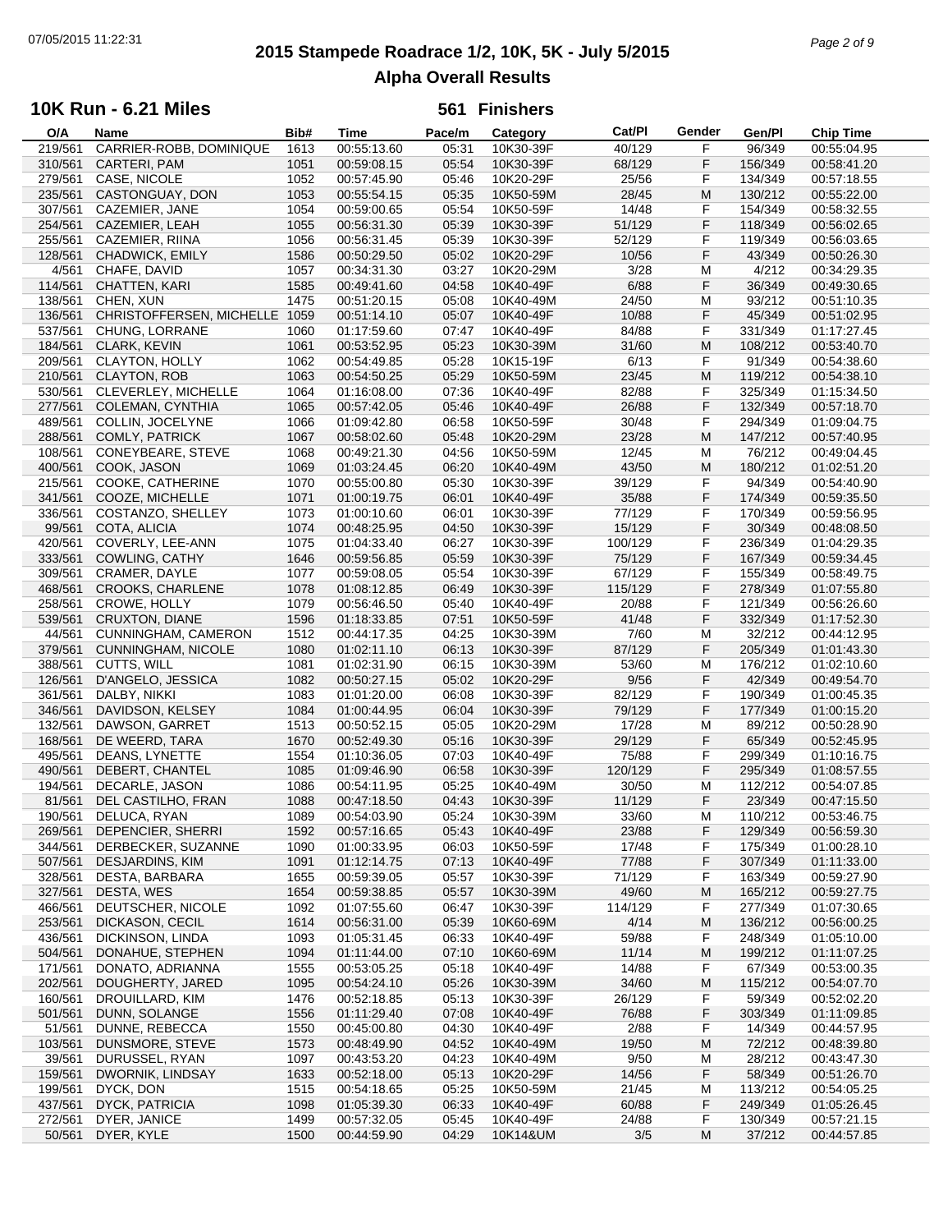# **2015 Stampede Roadrace 1/2, 10K, 5K - July 5/2015** 07/05/2015 11:22:31 *Page 2 of 9* **Alpha Overall Results**

## **10K Run - 6.21 Miles**

| O/A     | Name                      | Bib# | Time        | Pace/m | Category  | Cat/Pl  | Gender | Gen/Pl  | <b>Chip Time</b> |
|---------|---------------------------|------|-------------|--------|-----------|---------|--------|---------|------------------|
| 219/561 | CARRIER-ROBB, DOMINIQUE   | 1613 | 00:55:13.60 | 05:31  | 10K30-39F | 40/129  | F      | 96/349  | 00:55:04.95      |
| 310/561 | CARTERI, PAM              | 1051 | 00:59:08.15 | 05:54  | 10K30-39F | 68/129  | F      | 156/349 | 00:58:41.20      |
| 279/561 | CASE, NICOLE              | 1052 | 00:57:45.90 | 05:46  | 10K20-29F | 25/56   | F      | 134/349 | 00:57:18.55      |
| 235/561 | CASTONGUAY, DON           | 1053 | 00:55:54.15 | 05:35  | 10K50-59M | 28/45   | M      | 130/212 | 00:55:22.00      |
| 307/561 | CAZEMIER, JANE            | 1054 | 00:59:00.65 | 05:54  | 10K50-59F | 14/48   | F      | 154/349 | 00:58:32.55      |
|         |                           |      |             |        |           |         |        |         |                  |
| 254/561 | CAZEMIER, LEAH            | 1055 | 00:56:31.30 | 05:39  | 10K30-39F | 51/129  | F      | 118/349 | 00:56:02.65      |
| 255/561 | CAZEMIER, RIINA           | 1056 | 00:56:31.45 | 05:39  | 10K30-39F | 52/129  | F      | 119/349 | 00:56:03.65      |
| 128/561 | CHADWICK, EMILY           | 1586 | 00:50:29.50 | 05:02  | 10K20-29F | 10/56   | F      | 43/349  | 00:50:26.30      |
| 4/561   | CHAFE, DAVID              | 1057 | 00:34:31.30 | 03:27  | 10K20-29M | 3/28    | M      | 4/212   | 00:34:29.35      |
| 114/561 | CHATTEN, KARI             | 1585 | 00:49:41.60 | 04:58  | 10K40-49F | 6/88    | F      | 36/349  | 00:49:30.65      |
| 138/561 | CHEN, XUN                 | 1475 | 00:51:20.15 | 05:08  | 10K40-49M | 24/50   | M      | 93/212  | 00:51:10.35      |
| 136/561 | CHRISTOFFERSEN, MICHELLE  | 1059 | 00:51:14.10 | 05:07  | 10K40-49F | 10/88   | F      | 45/349  | 00:51:02.95      |
| 537/561 | CHUNG, LORRANE            | 1060 | 01:17:59.60 | 07:47  | 10K40-49F | 84/88   | F      | 331/349 | 01:17:27.45      |
|         |                           |      |             |        |           |         |        |         |                  |
| 184/561 | <b>CLARK, KEVIN</b>       | 1061 | 00:53:52.95 | 05:23  | 10K30-39M | 31/60   | M      | 108/212 | 00:53:40.70      |
| 209/561 | CLAYTON, HOLLY            | 1062 | 00:54:49.85 | 05:28  | 10K15-19F | 6/13    | F      | 91/349  | 00:54:38.60      |
| 210/561 | <b>CLAYTON, ROB</b>       | 1063 | 00:54:50.25 | 05:29  | 10K50-59M | 23/45   | M      | 119/212 | 00:54:38.10      |
| 530/561 | CLEVERLEY, MICHELLE       | 1064 | 01:16:08.00 | 07:36  | 10K40-49F | 82/88   | F      | 325/349 | 01:15:34.50      |
| 277/561 | COLEMAN, CYNTHIA          | 1065 | 00:57:42.05 | 05:46  | 10K40-49F | 26/88   | F      | 132/349 | 00:57:18.70      |
| 489/561 | COLLIN, JOCELYNE          | 1066 | 01:09:42.80 | 06:58  | 10K50-59F | 30/48   | F      | 294/349 | 01:09:04.75      |
| 288/561 | <b>COMLY, PATRICK</b>     | 1067 | 00:58:02.60 | 05:48  | 10K20-29M | 23/28   | M      | 147/212 | 00:57:40.95      |
| 108/561 | CONEYBEARE, STEVE         | 1068 | 00:49:21.30 | 04:56  | 10K50-59M | 12/45   | M      | 76/212  | 00:49:04.45      |
|         |                           |      | 01:03:24.45 |        |           |         | M      |         | 01:02:51.20      |
| 400/561 | COOK, JASON               | 1069 |             | 06:20  | 10K40-49M | 43/50   |        | 180/212 |                  |
| 215/561 | COOKE, CATHERINE          | 1070 | 00:55:00.80 | 05:30  | 10K30-39F | 39/129  | F      | 94/349  | 00:54:40.90      |
| 341/561 | COOZE, MICHELLE           | 1071 | 01:00:19.75 | 06:01  | 10K40-49F | 35/88   | F      | 174/349 | 00:59:35.50      |
| 336/561 | COSTANZO, SHELLEY         | 1073 | 01:00:10.60 | 06:01  | 10K30-39F | 77/129  | F      | 170/349 | 00:59:56.95      |
| 99/561  | COTA, ALICIA              | 1074 | 00:48:25.95 | 04:50  | 10K30-39F | 15/129  | F      | 30/349  | 00:48:08.50      |
| 420/561 | COVERLY, LEE-ANN          | 1075 | 01:04:33.40 | 06:27  | 10K30-39F | 100/129 | F      | 236/349 | 01:04:29.35      |
| 333/561 | <b>COWLING, CATHY</b>     | 1646 | 00:59:56.85 | 05:59  | 10K30-39F | 75/129  | F      | 167/349 | 00:59:34.45      |
| 309/561 | CRAMER, DAYLE             | 1077 | 00:59:08.05 | 05:54  | 10K30-39F | 67/129  | F      | 155/349 | 00:58:49.75      |
|         |                           |      |             |        |           |         | F      |         |                  |
| 468/561 | <b>CROOKS, CHARLENE</b>   | 1078 | 01:08:12.85 | 06:49  | 10K30-39F | 115/129 |        | 278/349 | 01:07:55.80      |
| 258/561 | CROWE, HOLLY              | 1079 | 00:56:46.50 | 05:40  | 10K40-49F | 20/88   | F      | 121/349 | 00:56:26.60      |
| 539/561 | CRUXTON, DIANE            | 1596 | 01:18:33.85 | 07:51  | 10K50-59F | 41/48   | F      | 332/349 | 01:17:52.30      |
| 44/561  | CUNNINGHAM, CAMERON       | 1512 | 00:44:17.35 | 04:25  | 10K30-39M | 7/60    | М      | 32/212  | 00:44:12.95      |
| 379/561 | <b>CUNNINGHAM, NICOLE</b> | 1080 | 01:02:11.10 | 06:13  | 10K30-39F | 87/129  | F      | 205/349 | 01:01:43.30      |
| 388/561 | CUTTS, WILL               | 1081 | 01:02:31.90 | 06:15  | 10K30-39M | 53/60   | M      | 176/212 | 01:02:10.60      |
| 126/561 | D'ANGELO, JESSICA         | 1082 | 00:50:27.15 | 05:02  | 10K20-29F | 9/56    | F      | 42/349  | 00:49:54.70      |
| 361/561 | DALBY, NIKKI              | 1083 | 01:01:20.00 | 06:08  | 10K30-39F | 82/129  | F      | 190/349 | 01:00:45.35      |
| 346/561 | DAVIDSON, KELSEY          | 1084 | 01:00:44.95 | 06:04  | 10K30-39F | 79/129  | F      | 177/349 | 01:00:15.20      |
|         |                           |      |             |        |           |         |        |         |                  |
| 132/561 | DAWSON, GARRET            | 1513 | 00:50:52.15 | 05:05  | 10K20-29M | 17/28   | М      | 89/212  | 00:50:28.90      |
| 168/561 | DE WEERD, TARA            | 1670 | 00:52:49.30 | 05:16  | 10K30-39F | 29/129  | F      | 65/349  | 00:52:45.95      |
| 495/561 | DEANS, LYNETTE            | 1554 | 01:10:36.05 | 07:03  | 10K40-49F | 75/88   | F      | 299/349 | 01:10:16.75      |
| 490/561 | DEBERT, CHANTEL           | 1085 | 01:09:46.90 | 06:58  | 10K30-39F | 120/129 | F      | 295/349 | 01:08:57.55      |
| 194/561 | DECARLE, JASON            | 1086 | 00:54:11.95 | 05:25  | 10K40-49M | 30/50   | м      | 112/212 | 00:54:07.85      |
| 81/561  | DEL CASTILHO, FRAN        | 1088 | 00:47:18.50 | 04:43  | 10K30-39F | 11/129  | F      | 23/349  | 00:47:15.50      |
| 190/561 | DELUCA, RYAN              | 1089 | 00:54:03.90 | 05:24  | 10K30-39M | 33/60   | M      | 110/212 | 00:53:46.75      |
| 269/561 | DEPENCIER, SHERRI         | 1592 | 00:57:16.65 | 05:43  | 10K40-49F | 23/88   | F      | 129/349 | 00:56:59.30      |
| 344/561 | DERBECKER, SUZANNE        | 1090 | 01:00:33.95 | 06:03  | 10K50-59F | 17/48   | F      | 175/349 |                  |
|         |                           |      |             |        |           |         |        |         | 01:00:28.10      |
| 507/561 | DESJARDINS, KIM           | 1091 | 01:12:14.75 | 07:13  | 10K40-49F | 77/88   | F      | 307/349 | 01:11:33.00      |
| 328/561 | DESTA, BARBARA            | 1655 | 00:59:39.05 | 05:57  | 10K30-39F | 71/129  | F      | 163/349 | 00:59:27.90      |
| 327/561 | DESTA, WES                | 1654 | 00:59:38.85 | 05:57  | 10K30-39M | 49/60   | M      | 165/212 | 00:59:27.75      |
| 466/561 | DEUTSCHER, NICOLE         | 1092 | 01:07:55.60 | 06:47  | 10K30-39F | 114/129 | F      | 277/349 | 01:07:30.65      |
| 253/561 | DICKASON, CECIL           | 1614 | 00:56:31.00 | 05:39  | 10K60-69M | 4/14    | M      | 136/212 | 00:56:00.25      |
| 436/561 | DICKINSON, LINDA          | 1093 | 01:05:31.45 | 06:33  | 10K40-49F | 59/88   | F      | 248/349 | 01:05:10.00      |
| 504/561 | DONAHUE, STEPHEN          | 1094 | 01:11:44.00 | 07:10  | 10K60-69M | 11/14   | M      | 199/212 | 01:11:07.25      |
| 171/561 | DONATO, ADRIANNA          | 1555 | 00:53:05.25 | 05:18  | 10K40-49F | 14/88   | F      | 67/349  | 00:53:00.35      |
| 202/561 | DOUGHERTY, JARED          | 1095 | 00:54:24.10 | 05:26  | 10K30-39M | 34/60   | M      | 115/212 | 00:54:07.70      |
|         |                           |      |             |        |           |         |        |         |                  |
| 160/561 | DROUILLARD, KIM           | 1476 | 00:52:18.85 | 05:13  | 10K30-39F | 26/129  | F      | 59/349  | 00:52:02.20      |
| 501/561 | DUNN, SOLANGE             | 1556 | 01:11:29.40 | 07:08  | 10K40-49F | 76/88   | F      | 303/349 | 01:11:09.85      |
| 51/561  | DUNNE, REBECCA            | 1550 | 00:45:00.80 | 04:30  | 10K40-49F | 2/88    | F      | 14/349  | 00:44:57.95      |
| 103/561 | DUNSMORE, STEVE           | 1573 | 00:48:49.90 | 04:52  | 10K40-49M | 19/50   | M      | 72/212  | 00:48:39.80      |
| 39/561  | DURUSSEL, RYAN            | 1097 | 00:43:53.20 | 04:23  | 10K40-49M | 9/50    | M      | 28/212  | 00:43:47.30      |
| 159/561 | DWORNIK, LINDSAY          | 1633 | 00:52:18.00 | 05:13  | 10K20-29F | 14/56   | F      | 58/349  | 00:51:26.70      |
| 199/561 | DYCK, DON                 | 1515 | 00:54:18.65 | 05:25  | 10K50-59M | 21/45   | M      | 113/212 | 00:54:05.25      |
| 437/561 | DYCK, PATRICIA            | 1098 | 01:05:39.30 | 06:33  | 10K40-49F | 60/88   | F      | 249/349 | 01:05:26.45      |
| 272/561 | DYER, JANICE              | 1499 | 00:57:32.05 | 05:45  | 10K40-49F | 24/88   | F      | 130/349 | 00:57:21.15      |
|         |                           |      | 00:44:59.90 | 04:29  |           | $3/5$   |        |         |                  |
| 50/561  | DYER, KYLE                | 1500 |             |        | 10K14&UM  |         | M      | 37/212  | 00:44:57.85      |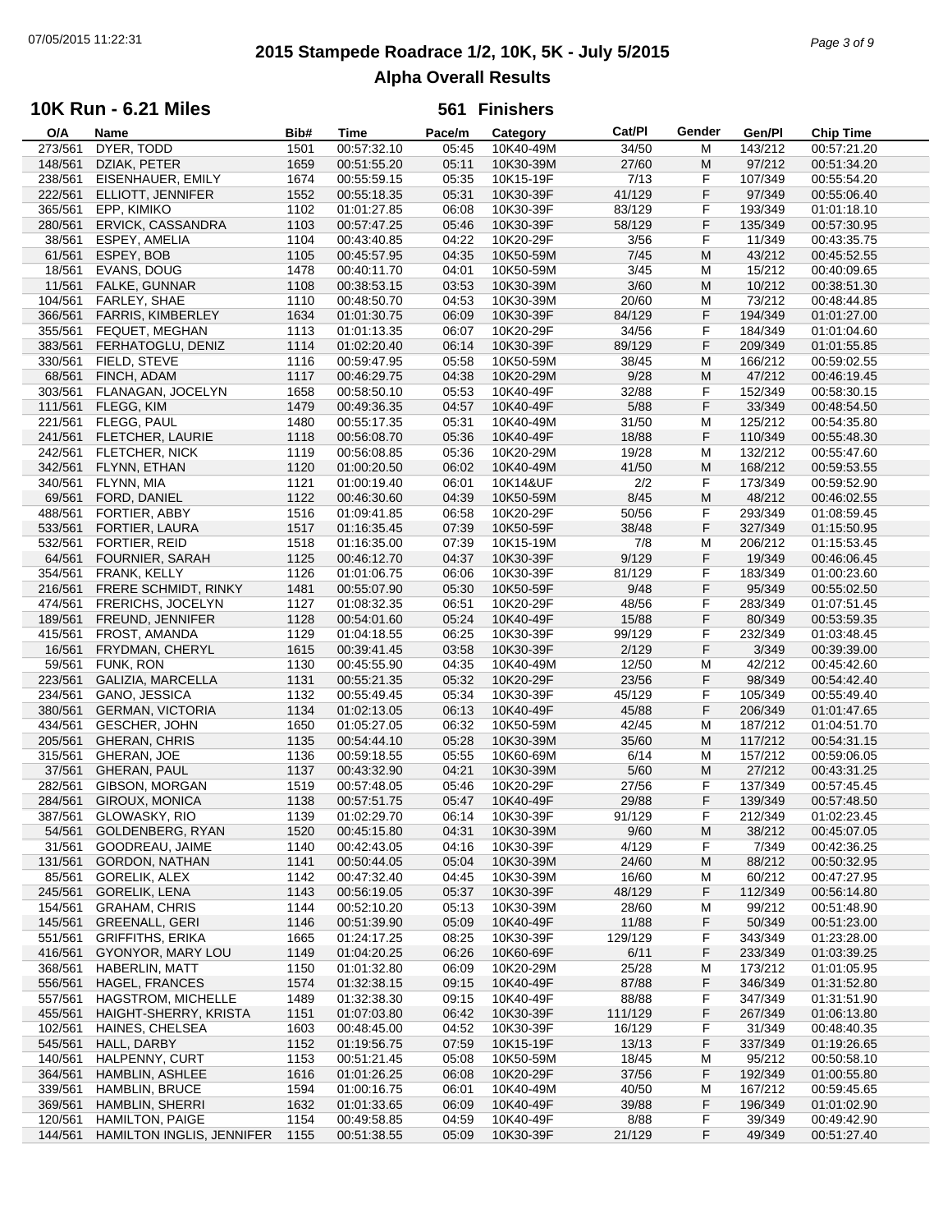# **2015 Stampede Roadrace 1/2, 10K, 5K - July 5/2015** 07/05/2015 11:22:31 *Page 3 of 9* **Alpha Overall Results**

## **10K Run - 6.21 Miles**

| O/A     | Name                           | Bib# | Time        | Pace/m | Category  | Cat/PI  | Gender | Gen/Pl  | <b>Chip Time</b> |
|---------|--------------------------------|------|-------------|--------|-----------|---------|--------|---------|------------------|
| 273/561 | DYER, TODD                     | 1501 | 00:57:32.10 | 05:45  | 10K40-49M | 34/50   | M      | 143/212 | 00:57:21.20      |
| 148/561 | DZIAK, PETER                   | 1659 | 00:51:55.20 | 05:11  | 10K30-39M | 27/60   | M      | 97/212  | 00:51:34.20      |
| 238/561 | EISENHAUER, EMILY              | 1674 | 00:55:59.15 | 05:35  | 10K15-19F | 7/13    | F      | 107/349 | 00:55:54.20      |
| 222/561 | ELLIOTT, JENNIFER              | 1552 | 00:55:18.35 | 05:31  | 10K30-39F | 41/129  | F      | 97/349  | 00:55:06.40      |
| 365/561 | EPP, KIMIKO                    | 1102 | 01:01:27.85 | 06:08  | 10K30-39F | 83/129  | F      | 193/349 | 01:01:18.10      |
|         |                                |      |             |        |           |         | F.     |         |                  |
| 280/561 | ERVICK, CASSANDRA              | 1103 | 00:57:47.25 | 05:46  | 10K30-39F | 58/129  |        | 135/349 | 00:57:30.95      |
| 38/561  | ESPEY, AMELIA                  | 1104 | 00:43:40.85 | 04:22  | 10K20-29F | 3/56    | F      | 11/349  | 00:43:35.75      |
| 61/561  | ESPEY, BOB                     | 1105 | 00:45:57.95 | 04:35  | 10K50-59M | 7/45    | M      | 43/212  | 00:45:52.55      |
| 18/561  | EVANS, DOUG                    | 1478 | 00:40:11.70 | 04:01  | 10K50-59M | 3/45    | M      | 15/212  | 00:40:09.65      |
| 11/561  | <b>FALKE, GUNNAR</b>           | 1108 | 00:38:53.15 | 03:53  | 10K30-39M | 3/60    | M      | 10/212  | 00:38:51.30      |
| 104/561 | FARLEY, SHAE                   | 1110 | 00:48:50.70 | 04:53  | 10K30-39M | 20/60   | M      | 73/212  | 00:48:44.85      |
| 366/561 | <b>FARRIS, KIMBERLEY</b>       | 1634 | 01:01:30.75 | 06:09  | 10K30-39F | 84/129  | F      | 194/349 | 01:01:27.00      |
| 355/561 | FEQUET, MEGHAN                 | 1113 | 01:01:13.35 | 06:07  | 10K20-29F | 34/56   | F      | 184/349 | 01:01:04.60      |
| 383/561 | FERHATOGLU, DENIZ              | 1114 | 01:02:20.40 | 06:14  | 10K30-39F | 89/129  | F      | 209/349 | 01:01:55.85      |
|         |                                |      |             |        |           |         |        |         |                  |
| 330/561 | FIELD, STEVE                   | 1116 | 00:59:47.95 | 05:58  | 10K50-59M | 38/45   | M      | 166/212 | 00:59:02.55      |
| 68/561  | FINCH, ADAM                    | 1117 | 00:46:29.75 | 04:38  | 10K20-29M | 9/28    | M      | 47/212  | 00:46:19.45      |
| 303/561 | FLANAGAN, JOCELYN              | 1658 | 00:58:50.10 | 05:53  | 10K40-49F | 32/88   | F      | 152/349 | 00:58:30.15      |
| 111/561 | FLEGG, KIM                     | 1479 | 00:49:36.35 | 04:57  | 10K40-49F | 5/88    | F      | 33/349  | 00:48:54.50      |
| 221/561 | FLEGG, PAUL                    | 1480 | 00:55:17.35 | 05:31  | 10K40-49M | 31/50   | M      | 125/212 | 00:54:35.80      |
| 241/561 | FLETCHER, LAURIE               | 1118 | 00:56:08.70 | 05:36  | 10K40-49F | 18/88   | F      | 110/349 | 00:55:48.30      |
| 242/561 | <b>FLETCHER, NICK</b>          | 1119 | 00:56:08.85 | 05:36  | 10K20-29M | 19/28   | M      | 132/212 | 00:55:47.60      |
| 342/561 | FLYNN, ETHAN                   | 1120 | 01:00:20.50 | 06:02  | 10K40-49M | 41/50   | M      | 168/212 | 00:59:53.55      |
| 340/561 | FLYNN, MIA                     | 1121 | 01:00:19.40 | 06:01  | 10K14&UF  | 2/2     | F      | 173/349 | 00:59:52.90      |
|         |                                |      |             |        |           |         |        |         |                  |
| 69/561  | FORD, DANIEL                   | 1122 | 00:46:30.60 | 04:39  | 10K50-59M | 8/45    | M      | 48/212  | 00:46:02.55      |
| 488/561 | FORTIER, ABBY                  | 1516 | 01:09:41.85 | 06:58  | 10K20-29F | 50/56   | F      | 293/349 | 01:08:59.45      |
| 533/561 | FORTIER, LAURA                 | 1517 | 01:16:35.45 | 07:39  | 10K50-59F | 38/48   | F      | 327/349 | 01:15:50.95      |
| 532/561 | <b>FORTIER, REID</b>           | 1518 | 01:16:35.00 | 07:39  | 10K15-19M | 7/8     | M      | 206/212 | 01:15:53.45      |
| 64/561  | <b>FOURNIER, SARAH</b>         | 1125 | 00:46:12.70 | 04:37  | 10K30-39F | 9/129   | F      | 19/349  | 00:46:06.45      |
| 354/561 | FRANK, KELLY                   | 1126 | 01:01:06.75 | 06:06  | 10K30-39F | 81/129  | F      | 183/349 | 01:00:23.60      |
| 216/561 | FRERE SCHMIDT, RINKY           | 1481 | 00:55:07.90 | 05:30  | 10K50-59F | 9/48    | F      | 95/349  | 00:55:02.50      |
| 474/561 | FRERICHS, JOCELYN              | 1127 | 01:08:32.35 | 06:51  | 10K20-29F | 48/56   | F      | 283/349 | 01:07:51.45      |
| 189/561 | FREUND, JENNIFER               | 1128 | 00:54:01.60 | 05:24  | 10K40-49F | 15/88   | F      | 80/349  | 00:53:59.35      |
| 415/561 | FROST, AMANDA                  | 1129 | 01:04:18.55 | 06:25  | 10K30-39F | 99/129  | F      | 232/349 | 01:03:48.45      |
| 16/561  | FRYDMAN, CHERYL                | 1615 | 00:39:41.45 | 03:58  | 10K30-39F | 2/129   | F      | 3/349   | 00:39:39.00      |
|         |                                |      |             | 04:35  |           |         |        |         |                  |
| 59/561  | <b>FUNK, RON</b>               | 1130 | 00:45:55.90 |        | 10K40-49M | 12/50   | M      | 42/212  | 00:45:42.60      |
| 223/561 | GALIZIA, MARCELLA              | 1131 | 00:55:21.35 | 05:32  | 10K20-29F | 23/56   | F      | 98/349  | 00:54:42.40      |
| 234/561 | GANO, JESSICA                  | 1132 | 00:55:49.45 | 05:34  | 10K30-39F | 45/129  | F      | 105/349 | 00:55:49.40      |
| 380/561 | <b>GERMAN, VICTORIA</b>        | 1134 | 01:02:13.05 | 06:13  | 10K40-49F | 45/88   | F      | 206/349 | 01:01:47.65      |
| 434/561 | <b>GESCHER, JOHN</b>           | 1650 | 01:05:27.05 | 06:32  | 10K50-59M | 42/45   | M      | 187/212 | 01:04:51.70      |
| 205/561 | <b>GHERAN, CHRIS</b>           | 1135 | 00:54:44.10 | 05:28  | 10K30-39M | 35/60   | M      | 117/212 | 00:54:31.15      |
| 315/561 | GHERAN, JOE                    | 1136 | 00:59:18.55 | 05:55  | 10K60-69M | 6/14    | M      | 157/212 | 00:59:06.05      |
| 37/561  | GHERAN, PAUL                   | 1137 | 00:43:32.90 | 04:21  | 10K30-39M | $5/60$  | M      | 27/212  | 00:43:31.25      |
| 282/561 | GIBSON, MORGAN                 | 1519 | 00:57:48.05 | 05:46  | 10K20-29F | 27/56   | F      | 137/349 | 00:57:45.45      |
| 284/561 | GIROUX, MONICA                 | 1138 | 00:57:51.75 | 05:47  | 10K40-49F | 29/88   | F      | 139/349 | 00:57:48.50      |
| 387/561 | GLOWASKY, RIO                  | 1139 | 01:02:29.70 | 06:14  | 10K30-39F | 91/129  | F      | 212/349 |                  |
|         |                                |      |             |        |           |         |        |         | 01:02:23.45      |
| 54/561  | GOLDENBERG, RYAN               | 1520 | 00:45:15.80 | 04:31  | 10K30-39M | 9/60    | M      | 38/212  | 00:45:07.05      |
| 31/561  | GOODREAU, JAIME                | 1140 | 00:42:43.05 | 04:16  | 10K30-39F | 4/129   | F.     | 7/349   | 00:42:36.25      |
| 131/561 | GORDON, NATHAN                 | 1141 | 00:50:44.05 | 05:04  | 10K30-39M | 24/60   | M      | 88/212  | 00:50:32.95      |
| 85/561  | <b>GORELIK, ALEX</b>           | 1142 | 00:47:32.40 | 04:45  | 10K30-39M | 16/60   | M      | 60/212  | 00:47:27.95      |
| 245/561 | <b>GORELIK, LENA</b>           | 1143 | 00:56:19.05 | 05:37  | 10K30-39F | 48/129  | F      | 112/349 | 00:56:14.80      |
| 154/561 | <b>GRAHAM, CHRIS</b>           | 1144 | 00:52:10.20 | 05:13  | 10K30-39M | 28/60   | M      | 99/212  | 00:51:48.90      |
| 145/561 | <b>GREENALL, GERI</b>          | 1146 | 00:51:39.90 | 05:09  | 10K40-49F | 11/88   | F      | 50/349  | 00:51:23.00      |
| 551/561 | <b>GRIFFITHS, ERIKA</b>        | 1665 | 01:24:17.25 | 08:25  | 10K30-39F | 129/129 | F      | 343/349 | 01:23:28.00      |
| 416/561 | GYONYOR, MARY LOU              | 1149 | 01:04:20.25 | 06:26  | 10K60-69F | 6/11    | F      | 233/349 | 01:03:39.25      |
| 368/561 | <b>HABERLIN, MATT</b>          | 1150 | 01:01:32.80 | 06:09  | 10K20-29M | 25/28   | M      | 173/212 | 01:01:05.95      |
| 556/561 | HAGEL, FRANCES                 | 1574 | 01:32:38.15 | 09:15  | 10K40-49F | 87/88   | F      | 346/349 | 01:31:52.80      |
|         |                                |      |             |        |           |         |        |         |                  |
| 557/561 | <b>HAGSTROM, MICHELLE</b>      | 1489 | 01:32:38.30 | 09:15  | 10K40-49F | 88/88   | F      | 347/349 | 01:31:51.90      |
| 455/561 | HAIGHT-SHERRY, KRISTA          | 1151 | 01:07:03.80 | 06:42  | 10K30-39F | 111/129 | F      | 267/349 | 01:06:13.80      |
| 102/561 | HAINES, CHELSEA                | 1603 | 00:48:45.00 | 04:52  | 10K30-39F | 16/129  | F      | 31/349  | 00:48:40.35      |
| 545/561 | HALL, DARBY                    | 1152 | 01:19:56.75 | 07:59  | 10K15-19F | 13/13   | F      | 337/349 | 01:19:26.65      |
| 140/561 | HALPENNY, CURT                 | 1153 | 00:51:21.45 | 05:08  | 10K50-59M | 18/45   | M      | 95/212  | 00:50:58.10      |
| 364/561 | HAMBLIN, ASHLEE                | 1616 | 01:01:26.25 | 06:08  | 10K20-29F | 37/56   | F      | 192/349 | 01:00:55.80      |
| 339/561 | HAMBLIN, BRUCE                 | 1594 | 01:00:16.75 | 06:01  | 10K40-49M | 40/50   | M      | 167/212 | 00:59:45.65      |
| 369/561 | HAMBLIN, SHERRI                | 1632 | 01:01:33.65 | 06:09  | 10K40-49F | 39/88   | F      | 196/349 | 01:01:02.90      |
| 120/561 | <b>HAMILTON, PAIGE</b>         | 1154 | 00:49:58.85 | 04:59  | 10K40-49F | 8/88    | F      | 39/349  | 00:49:42.90      |
| 144/561 | HAMILTON INGLIS, JENNIFER 1155 |      | 00:51:38.55 | 05:09  | 10K30-39F | 21/129  | F      | 49/349  | 00:51:27.40      |
|         |                                |      |             |        |           |         |        |         |                  |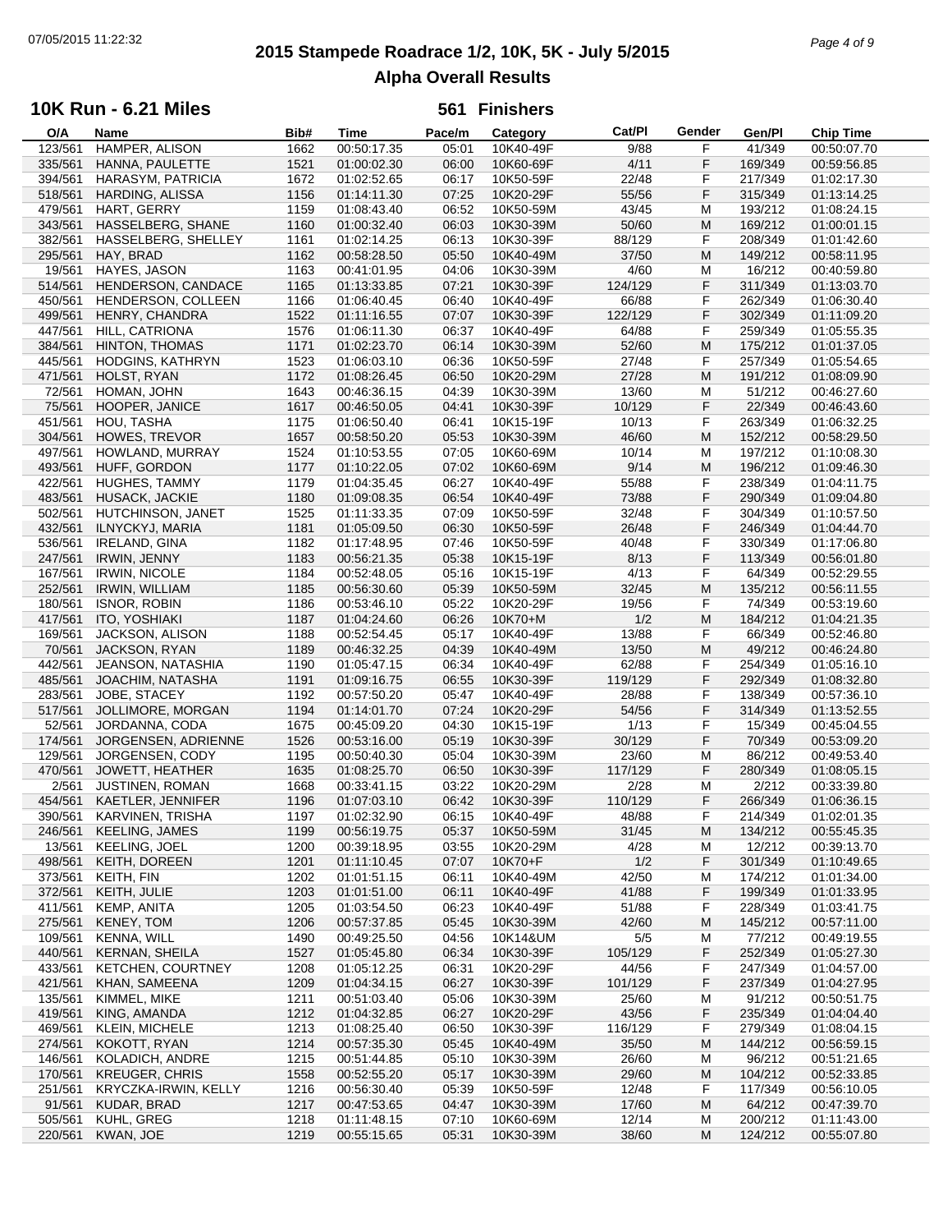# **2015 Stampede Roadrace 1/2, 10K, 5K - July 5/2015** 07/05/2015 11:22:32 *Page 4 of 9* **Alpha Overall Results**

## **10K Run - 6.21 Miles**

| O/A     | Name                     | Bib# | Time        | Pace/m | Category  | <b>Cat/PI</b> | Gender | Gen/Pl  | <b>Chip Time</b> |
|---------|--------------------------|------|-------------|--------|-----------|---------------|--------|---------|------------------|
| 123/561 | HAMPER, ALISON           | 1662 | 00:50:17.35 | 05:01  | 10K40-49F | 9/88          | F      | 41/349  | 00:50:07.70      |
| 335/561 | HANNA, PAULETTE          | 1521 | 01:00:02.30 | 06:00  | 10K60-69F | 4/11          | F      | 169/349 | 00:59:56.85      |
| 394/561 | HARASYM, PATRICIA        | 1672 | 01:02:52.65 | 06:17  | 10K50-59F | 22/48         | F      | 217/349 | 01:02:17.30      |
| 518/561 | HARDING, ALISSA          | 1156 | 01:14:11.30 | 07:25  | 10K20-29F | 55/56         | F      | 315/349 | 01:13:14.25      |
| 479/561 | HART, GERRY              | 1159 | 01:08:43.40 | 06:52  | 10K50-59M | 43/45         | М      | 193/212 | 01:08:24.15      |
|         |                          |      |             |        |           |               |        |         |                  |
| 343/561 | HASSELBERG, SHANE        | 1160 | 01:00:32.40 | 06:03  | 10K30-39M | 50/60         | M      | 169/212 | 01:00:01.15      |
| 382/561 | HASSELBERG, SHELLEY      | 1161 | 01:02:14.25 | 06:13  | 10K30-39F | 88/129        | F      | 208/349 | 01:01:42.60      |
| 295/561 | HAY, BRAD                | 1162 | 00:58:28.50 | 05:50  | 10K40-49M | 37/50         | M      | 149/212 | 00:58:11.95      |
| 19/561  | HAYES, JASON             | 1163 | 00:41:01.95 | 04:06  | 10K30-39M | 4/60          | М      | 16/212  | 00:40:59.80      |
| 514/561 | HENDERSON, CANDACE       | 1165 | 01:13:33.85 | 07:21  | 10K30-39F | 124/129       | F      | 311/349 | 01:13:03.70      |
| 450/561 | HENDERSON, COLLEEN       | 1166 | 01:06:40.45 | 06:40  | 10K40-49F | 66/88         | F      | 262/349 | 01:06:30.40      |
| 499/561 | HENRY, CHANDRA           | 1522 | 01:11:16.55 | 07:07  | 10K30-39F | 122/129       | F      | 302/349 | 01:11:09.20      |
| 447/561 | HILL, CATRIONA           | 1576 | 01:06:11.30 | 06:37  | 10K40-49F | 64/88         | F      | 259/349 | 01:05:55.35      |
| 384/561 | <b>HINTON, THOMAS</b>    | 1171 | 01:02:23.70 | 06:14  | 10K30-39M | 52/60         | M      | 175/212 | 01:01:37.05      |
|         |                          |      |             |        |           |               |        |         |                  |
| 445/561 | HODGINS, KATHRYN         | 1523 | 01:06:03.10 | 06:36  | 10K50-59F | 27/48         | F      | 257/349 | 01:05:54.65      |
| 471/561 | HOLST, RYAN              | 1172 | 01:08:26.45 | 06:50  | 10K20-29M | 27/28         | M      | 191/212 | 01:08:09.90      |
| 72/561  | HOMAN, JOHN              | 1643 | 00:46:36.15 | 04:39  | 10K30-39M | 13/60         | М      | 51/212  | 00:46:27.60      |
| 75/561  | HOOPER, JANICE           | 1617 | 00:46:50.05 | 04:41  | 10K30-39F | 10/129        | F      | 22/349  | 00:46:43.60      |
| 451/561 | HOU, TASHA               | 1175 | 01:06:50.40 | 06:41  | 10K15-19F | 10/13         | F      | 263/349 | 01:06:32.25      |
| 304/561 | HOWES, TREVOR            | 1657 | 00:58:50.20 | 05:53  | 10K30-39M | 46/60         | M      | 152/212 | 00:58:29.50      |
| 497/561 | HOWLAND, MURRAY          | 1524 | 01:10:53.55 | 07:05  | 10K60-69M | 10/14         | М      | 197/212 | 01:10:08.30      |
| 493/561 | HUFF, GORDON             | 1177 | 01:10:22.05 | 07:02  | 10K60-69M | 9/14          | M      | 196/212 | 01:09:46.30      |
| 422/561 | <b>HUGHES, TAMMY</b>     | 1179 | 01:04:35.45 | 06:27  | 10K40-49F | 55/88         | F      | 238/349 | 01:04:11.75      |
|         |                          |      |             |        | 10K40-49F |               | F      |         |                  |
| 483/561 | HUSACK, JACKIE           | 1180 | 01:09:08.35 | 06:54  |           | 73/88         |        | 290/349 | 01:09:04.80      |
| 502/561 | HUTCHINSON, JANET        | 1525 | 01:11:33.35 | 07:09  | 10K50-59F | 32/48         | F      | 304/349 | 01:10:57.50      |
| 432/561 | ILNYCKYJ, MARIA          | 1181 | 01:05:09.50 | 06:30  | 10K50-59F | 26/48         | F      | 246/349 | 01:04:44.70      |
| 536/561 | <b>IRELAND, GINA</b>     | 1182 | 01:17:48.95 | 07:46  | 10K50-59F | 40/48         | F      | 330/349 | 01:17:06.80      |
| 247/561 | IRWIN, JENNY             | 1183 | 00:56:21.35 | 05:38  | 10K15-19F | 8/13          | F      | 113/349 | 00:56:01.80      |
| 167/561 | <b>IRWIN, NICOLE</b>     | 1184 | 00:52:48.05 | 05:16  | 10K15-19F | 4/13          | F      | 64/349  | 00:52:29.55      |
| 252/561 | <b>IRWIN, WILLIAM</b>    | 1185 | 00:56:30.60 | 05:39  | 10K50-59M | 32/45         | M      | 135/212 | 00:56:11.55      |
| 180/561 | <b>ISNOR, ROBIN</b>      | 1186 | 00:53:46.10 | 05:22  | 10K20-29F | 19/56         | F      | 74/349  | 00:53:19.60      |
| 417/561 | ITO, YOSHIAKI            | 1187 | 01:04:24.60 | 06:26  | 10K70+M   | 1/2           | M      | 184/212 | 01:04:21.35      |
| 169/561 | JACKSON, ALISON          | 1188 | 00:52:54.45 | 05:17  | 10K40-49F | 13/88         | F      | 66/349  | 00:52:46.80      |
| 70/561  | JACKSON, RYAN            | 1189 | 00:46:32.25 | 04:39  | 10K40-49M | 13/50         | M      | 49/212  | 00:46:24.80      |
|         |                          |      |             |        |           |               | F      |         |                  |
| 442/561 | JEANSON, NATASHIA        | 1190 | 01:05:47.15 | 06:34  | 10K40-49F | 62/88         |        | 254/349 | 01:05:16.10      |
| 485/561 | JOACHIM, NATASHA         | 1191 | 01:09:16.75 | 06:55  | 10K30-39F | 119/129       | F      | 292/349 | 01:08:32.80      |
| 283/561 | JOBE, STACEY             | 1192 | 00:57:50.20 | 05:47  | 10K40-49F | 28/88         | F      | 138/349 | 00:57:36.10      |
| 517/561 | JOLLIMORE, MORGAN        | 1194 | 01:14:01.70 | 07:24  | 10K20-29F | 54/56         | F      | 314/349 | 01:13:52.55      |
| 52/561  | JORDANNA, CODA           | 1675 | 00:45:09.20 | 04:30  | 10K15-19F | 1/13          | F      | 15/349  | 00:45:04.55      |
| 174/561 | JORGENSEN, ADRIENNE      | 1526 | 00:53:16.00 | 05:19  | 10K30-39F | 30/129        | F      | 70/349  | 00:53:09.20      |
| 129/561 | JORGENSEN, CODY          | 1195 | 00:50:40.30 | 05:04  | 10K30-39M | 23/60         | М      | 86/212  | 00:49:53.40      |
| 470/561 | JOWETT, HEATHER          | 1635 | 01:08:25.70 | 06:50  | 10K30-39F | 117/129       | F      | 280/349 | 01:08:05.15      |
| 2/561   | <b>JUSTINEN, ROMAN</b>   | 1668 | 00:33:41.15 | 03:22  | 10K20-29M | 2/28          | М      | 2/212   | 00:33:39.80      |
| 454/561 | KAETLER, JENNIFER        | 1196 | 01:07:03.10 | 06:42  | 10K30-39F | 110/129       | F      | 266/349 | 01:06:36.15      |
| 390/561 | KARVINEN, TRISHA         | 1197 | 01:02:32.90 | 06:15  | 10K40-49F | 48/88         | F      | 214/349 | 01:02:01.35      |
| 246/561 | <b>KEELING, JAMES</b>    | 1199 | 00:56:19.75 | 05:37  | 10K50-59M | 31/45         | M      | 134/212 | 00:55:45.35      |
| 13/561  | <b>KEELING, JOEL</b>     |      | 00:39:18.95 | 03:55  | 10K20-29M | 4/28          |        | 12/212  | 00:39:13.70      |
|         |                          | 1200 |             |        |           |               | M      |         |                  |
| 498/561 | KEITH, DOREEN            | 1201 | 01:11:10.45 | 07:07  | 10K70+F   | 1/2           | F      | 301/349 | 01:10:49.65      |
| 373/561 | KEITH, FIN               | 1202 | 01:01:51.15 | 06:11  | 10K40-49M | 42/50         | М      | 174/212 | 01:01:34.00      |
| 372/561 | KEITH, JULIE             | 1203 | 01:01:51.00 | 06:11  | 10K40-49F | 41/88         | F      | 199/349 | 01:01:33.95      |
| 411/561 | <b>KEMP, ANITA</b>       | 1205 | 01:03:54.50 | 06:23  | 10K40-49F | 51/88         | F      | 228/349 | 01:03:41.75      |
| 275/561 | KENEY, TOM               | 1206 | 00:57:37.85 | 05:45  | 10K30-39M | 42/60         | M      | 145/212 | 00:57:11.00      |
| 109/561 | <b>KENNA, WILL</b>       | 1490 | 00:49:25.50 | 04:56  | 10K14&UM  | 5/5           | м      | 77/212  | 00:49:19.55      |
| 440/561 | <b>KERNAN, SHEILA</b>    | 1527 | 01:05:45.80 | 06:34  | 10K30-39F | 105/129       | F      | 252/349 | 01:05:27.30      |
| 433/561 | <b>KETCHEN, COURTNEY</b> | 1208 | 01:05:12.25 | 06:31  | 10K20-29F | 44/56         | F      | 247/349 | 01:04:57.00      |
| 421/561 | KHAN, SAMEENA            | 1209 | 01:04:34.15 | 06:27  | 10K30-39F | 101/129       | F      | 237/349 | 01:04:27.95      |
| 135/561 | KIMMEL, MIKE             | 1211 | 00:51:03.40 | 05:06  | 10K30-39M | 25/60         | M      | 91/212  | 00:50:51.75      |
| 419/561 | KING, AMANDA             | 1212 | 01:04:32.85 | 06:27  | 10K20-29F | 43/56         | F      | 235/349 | 01:04:04.40      |
|         |                          |      |             |        |           |               |        |         |                  |
| 469/561 | <b>KLEIN, MICHELE</b>    | 1213 | 01:08:25.40 | 06:50  | 10K30-39F | 116/129       | F      | 279/349 | 01:08:04.15      |
| 274/561 | KOKOTT, RYAN             | 1214 | 00:57:35.30 | 05:45  | 10K40-49M | 35/50         | M      | 144/212 | 00:56:59.15      |
| 146/561 | KOLADICH, ANDRE          | 1215 | 00:51:44.85 | 05:10  | 10K30-39M | 26/60         | M      | 96/212  | 00:51:21.65      |
| 170/561 | <b>KREUGER, CHRIS</b>    | 1558 | 00:52:55.20 | 05:17  | 10K30-39M | 29/60         | M      | 104/212 | 00:52:33.85      |
| 251/561 | KRYCZKA-IRWIN, KELLY     | 1216 | 00:56:30.40 | 05:39  | 10K50-59F | 12/48         | F      | 117/349 | 00:56:10.05      |
| 91/561  | KUDAR, BRAD              | 1217 | 00:47:53.65 | 04:47  | 10K30-39M | 17/60         | M      | 64/212  | 00:47:39.70      |
| 505/561 | KUHL, GREG               | 1218 | 01:11:48.15 | 07:10  | 10K60-69M | 12/14         | M      | 200/212 | 01:11:43.00      |
| 220/561 | KWAN, JOE                | 1219 | 00:55:15.65 | 05:31  | 10K30-39M | 38/60         | M      | 124/212 | 00:55:07.80      |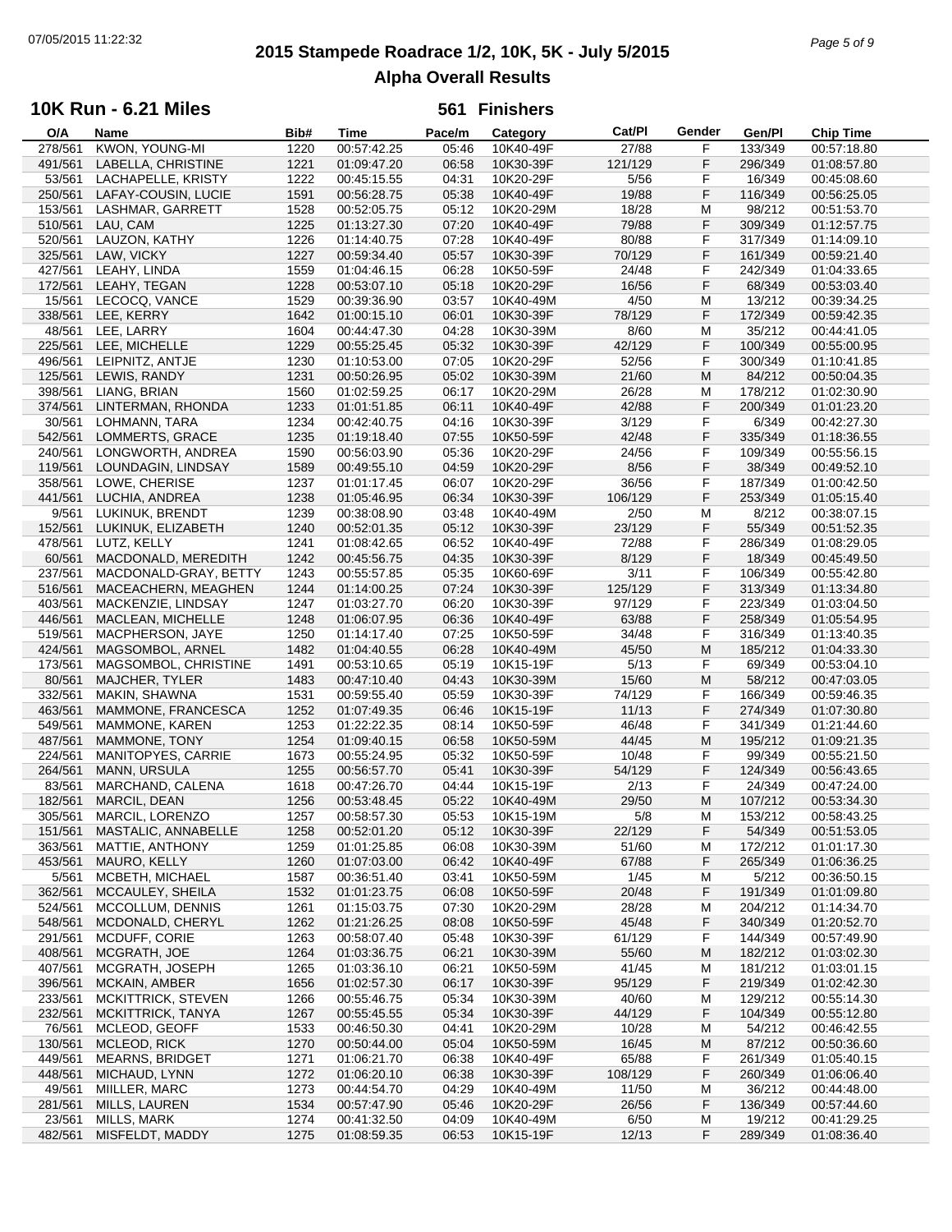# **2015 Stampede Roadrace 1/2, 10K, 5K - July 5/2015** 07/05/2015 11:22:32 *Page 5 of 9* **Alpha Overall Results**

## **10K Run - 6.21 Miles**

| O/A     | Name                      | Bib# | Time        | Pace/m | Category  | Cat/PI  | Gender | Gen/Pl  | <b>Chip Time</b> |
|---------|---------------------------|------|-------------|--------|-----------|---------|--------|---------|------------------|
| 278/561 | KWON, YOUNG-MI            | 1220 | 00:57:42.25 | 05:46  | 10K40-49F | 27/88   | F      | 133/349 | 00:57:18.80      |
| 491/561 | LABELLA, CHRISTINE        | 1221 | 01:09:47.20 | 06:58  | 10K30-39F | 121/129 | F      | 296/349 | 01:08:57.80      |
| 53/561  | LACHAPELLE, KRISTY        | 1222 | 00:45:15.55 | 04:31  | 10K20-29F | $5/56$  | F      | 16/349  | 00:45:08.60      |
| 250/561 | LAFAY-COUSIN, LUCIE       | 1591 | 00:56:28.75 | 05:38  | 10K40-49F | 19/88   | F      | 116/349 | 00:56:25.05      |
| 153/561 | LASHMAR, GARRETT          | 1528 | 00:52:05.75 | 05:12  | 10K20-29M | 18/28   | M      | 98/212  | 00:51:53.70      |
|         |                           |      |             |        |           |         |        |         |                  |
| 510/561 | LAU, CAM                  | 1225 | 01:13:27.30 | 07:20  | 10K40-49F | 79/88   | F      | 309/349 | 01:12:57.75      |
| 520/561 | LAUZON, KATHY             | 1226 | 01:14:40.75 | 07:28  | 10K40-49F | 80/88   | F      | 317/349 | 01:14:09.10      |
| 325/561 | LAW, VICKY                | 1227 | 00:59:34.40 | 05:57  | 10K30-39F | 70/129  | F      | 161/349 | 00:59:21.40      |
| 427/561 | LEAHY, LINDA              | 1559 | 01:04:46.15 | 06:28  | 10K50-59F | 24/48   | F      | 242/349 | 01:04:33.65      |
| 172/561 | LEAHY, TEGAN              | 1228 | 00:53:07.10 | 05:18  | 10K20-29F | 16/56   | F      | 68/349  | 00:53:03.40      |
| 15/561  | LECOCQ, VANCE             | 1529 | 00:39:36.90 | 03:57  | 10K40-49M | 4/50    | М      | 13/212  | 00:39:34.25      |
| 338/561 | LEE, KERRY                | 1642 | 01:00:15.10 | 06:01  | 10K30-39F | 78/129  | F      | 172/349 | 00:59:42.35      |
| 48/561  | LEE, LARRY                | 1604 | 00:44:47.30 | 04:28  | 10K30-39M | 8/60    | M      | 35/212  | 00:44:41.05      |
| 225/561 | LEE. MICHELLE             | 1229 | 00:55:25.45 | 05:32  | 10K30-39F | 42/129  | F      | 100/349 | 00:55:00.95      |
|         |                           |      |             |        |           |         |        |         |                  |
| 496/561 | LEIPNITZ, ANTJE           | 1230 | 01:10:53.00 | 07:05  | 10K20-29F | 52/56   | F      | 300/349 | 01:10:41.85      |
| 125/561 | LEWIS, RANDY              | 1231 | 00:50:26.95 | 05:02  | 10K30-39M | 21/60   | M      | 84/212  | 00:50:04.35      |
| 398/561 | LIANG, BRIAN              | 1560 | 01:02:59.25 | 06:17  | 10K20-29M | 26/28   | M      | 178/212 | 01:02:30.90      |
| 374/561 | LINTERMAN, RHONDA         | 1233 | 01:01:51.85 | 06:11  | 10K40-49F | 42/88   | F      | 200/349 | 01:01:23.20      |
| 30/561  | LOHMANN, TARA             | 1234 | 00:42:40.75 | 04:16  | 10K30-39F | 3/129   | F      | 6/349   | 00:42:27.30      |
| 542/561 | LOMMERTS, GRACE           | 1235 | 01:19:18.40 | 07:55  | 10K50-59F | 42/48   | F      | 335/349 | 01:18:36.55      |
| 240/561 | LONGWORTH, ANDREA         | 1590 | 00:56:03.90 | 05:36  | 10K20-29F | 24/56   | F      | 109/349 | 00:55:56.15      |
| 119/561 | LOUNDAGIN, LINDSAY        | 1589 | 00:49:55.10 | 04:59  | 10K20-29F | 8/56    | F      | 38/349  | 00:49:52.10      |
|         |                           |      |             |        |           |         |        |         |                  |
| 358/561 | LOWE, CHERISE             | 1237 | 01:01:17.45 | 06:07  | 10K20-29F | 36/56   | F      | 187/349 | 01:00:42.50      |
| 441/561 | LUCHIA, ANDREA            | 1238 | 01:05:46.95 | 06:34  | 10K30-39F | 106/129 | F      | 253/349 | 01:05:15.40      |
| 9/561   | LUKINUK, BRENDT           | 1239 | 00:38:08.90 | 03:48  | 10K40-49M | 2/50    | M      | 8/212   | 00:38:07.15      |
| 152/561 | LUKINUK, ELIZABETH        | 1240 | 00:52:01.35 | 05:12  | 10K30-39F | 23/129  | F      | 55/349  | 00:51:52.35      |
| 478/561 | LUTZ, KELLY               | 1241 | 01:08:42.65 | 06:52  | 10K40-49F | 72/88   | F      | 286/349 | 01:08:29.05      |
| 60/561  | MACDONALD, MEREDITH       | 1242 | 00:45:56.75 | 04:35  | 10K30-39F | 8/129   | F      | 18/349  | 00:45:49.50      |
| 237/561 | MACDONALD-GRAY, BETTY     | 1243 | 00:55:57.85 | 05:35  | 10K60-69F | 3/11    | F      | 106/349 | 00:55:42.80      |
| 516/561 | MACEACHERN, MEAGHEN       | 1244 | 01:14:00.25 | 07:24  | 10K30-39F | 125/129 | F      | 313/349 | 01:13:34.80      |
|         |                           |      |             |        |           |         |        |         |                  |
| 403/561 | MACKENZIE, LINDSAY        | 1247 | 01:03:27.70 | 06:20  | 10K30-39F | 97/129  | F      | 223/349 | 01:03:04.50      |
| 446/561 | MACLEAN, MICHELLE         | 1248 | 01:06:07.95 | 06:36  | 10K40-49F | 63/88   | F      | 258/349 | 01:05:54.95      |
| 519/561 | MACPHERSON, JAYE          | 1250 | 01:14:17.40 | 07:25  | 10K50-59F | 34/48   | F      | 316/349 | 01:13:40.35      |
| 424/561 | MAGSOMBOL, ARNEL          | 1482 | 01:04:40.55 | 06:28  | 10K40-49M | 45/50   | M      | 185/212 | 01:04:33.30      |
| 173/561 | MAGSOMBOL, CHRISTINE      | 1491 | 00:53:10.65 | 05:19  | 10K15-19F | 5/13    | F      | 69/349  | 00:53:04.10      |
| 80/561  | MAJCHER, TYLER            | 1483 | 00:47:10.40 | 04:43  | 10K30-39M | 15/60   | M      | 58/212  | 00:47:03.05      |
| 332/561 | MAKIN, SHAWNA             | 1531 | 00:59:55.40 | 05:59  | 10K30-39F | 74/129  | F      | 166/349 | 00:59:46.35      |
| 463/561 | MAMMONE, FRANCESCA        | 1252 | 01:07:49.35 | 06:46  | 10K15-19F | 11/13   | F      | 274/349 | 01:07:30.80      |
| 549/561 | MAMMONE, KAREN            | 1253 | 01:22:22.35 | 08:14  | 10K50-59F | 46/48   | F      | 341/349 | 01:21:44.60      |
| 487/561 | MAMMONE, TONY             | 1254 | 01:09:40.15 | 06:58  | 10K50-59M | 44/45   | M      | 195/212 | 01:09:21.35      |
|         |                           |      |             |        |           |         |        |         |                  |
| 224/561 | MANITOPYES, CARRIE        | 1673 | 00:55:24.95 | 05:32  | 10K50-59F | 10/48   | F      | 99/349  | 00:55:21.50      |
| 264/561 | <b>MANN, URSULA</b>       | 1255 | 00:56:57.70 | 05:41  | 10K30-39F | 54/129  | F      | 124/349 | 00:56:43.65      |
| 83/561  | MARCHAND, CALENA          | 1618 | 00:47:26.70 | 04:44  | 10K15-19F | 2/13    | F      | 24/349  | 00:47:24.00      |
| 182/561 | <b>MARCIL, DEAN</b>       | 1256 | 00:53:48.45 | 05:22  | 10K40-49M | 29/50   | M      | 107/212 | 00:53:34.30      |
| 305/561 | MARCIL, LORENZO           | 1257 | 00:58:57.30 | 05:53  | 10K15-19M | 5/8     | M      | 153/212 | 00:58:43.25      |
| 151/561 | MASTALIC, ANNABELLE       | 1258 | 00:52:01.20 | 05:12  | 10K30-39F | 22/129  | F      | 54/349  | 00:51:53.05      |
| 363/561 | MATTIE, ANTHONY           | 1259 | 01:01:25.85 | 06:08  | 10K30-39M | 51/60   | M      | 172/212 | 01:01:17.30      |
| 453/561 | MAURO, KELLY              | 1260 | 01:07:03.00 | 06:42  | 10K40-49F | 67/88   | F      | 265/349 | 01:06:36.25      |
| 5/561   | MCBETH, MICHAEL           | 1587 | 00:36:51.40 | 03:41  | 10K50-59M | 1/45    | M      | 5/212   | 00:36:50.15      |
| 362/561 | MCCAULEY, SHEILA          | 1532 | 01:01:23.75 | 06:08  | 10K50-59F | 20/48   | F      | 191/349 | 01:01:09.80      |
|         |                           |      |             |        |           |         |        |         |                  |
| 524/561 | MCCOLLUM, DENNIS          | 1261 | 01:15:03.75 | 07:30  | 10K20-29M | 28/28   | M      | 204/212 | 01:14:34.70      |
| 548/561 | MCDONALD, CHERYL          | 1262 | 01:21:26.25 | 08:08  | 10K50-59F | 45/48   | F      | 340/349 | 01:20:52.70      |
| 291/561 | MCDUFF, CORIE             | 1263 | 00:58:07.40 | 05:48  | 10K30-39F | 61/129  | F      | 144/349 | 00:57:49.90      |
| 408/561 | MCGRATH, JOE              | 1264 | 01:03:36.75 | 06:21  | 10K30-39M | 55/60   | м      | 182/212 | 01:03:02.30      |
| 407/561 | MCGRATH, JOSEPH           | 1265 | 01:03:36.10 | 06:21  | 10K50-59M | 41/45   | M      | 181/212 | 01:03:01.15      |
| 396/561 | MCKAIN, AMBER             | 1656 | 01:02:57.30 | 06:17  | 10K30-39F | 95/129  | F      | 219/349 | 01:02:42.30      |
| 233/561 | <b>MCKITTRICK, STEVEN</b> | 1266 | 00:55:46.75 | 05:34  | 10K30-39M | 40/60   | м      | 129/212 | 00:55:14.30      |
| 232/561 | MCKITTRICK, TANYA         | 1267 | 00:55:45.55 | 05:34  | 10K30-39F | 44/129  | F      | 104/349 | 00:55:12.80      |
| 76/561  | MCLEOD, GEOFF             | 1533 | 00:46:50.30 | 04:41  | 10K20-29M | 10/28   | M      | 54/212  | 00:46:42.55      |
|         |                           |      |             |        |           |         |        |         |                  |
| 130/561 | MCLEOD, RICK              | 1270 | 00:50:44.00 | 05:04  | 10K50-59M | 16/45   | M      | 87/212  | 00:50:36.60      |
| 449/561 | <b>MEARNS, BRIDGET</b>    | 1271 | 01:06:21.70 | 06:38  | 10K40-49F | 65/88   | F      | 261/349 | 01:05:40.15      |
| 448/561 | MICHAUD, LYNN             | 1272 | 01:06:20.10 | 06:38  | 10K30-39F | 108/129 | F      | 260/349 | 01:06:06.40      |
| 49/561  | MIILLER, MARC             | 1273 | 00:44:54.70 | 04:29  | 10K40-49M | 11/50   | M      | 36/212  | 00:44:48.00      |
| 281/561 | MILLS, LAUREN             | 1534 | 00:57:47.90 | 05:46  | 10K20-29F | 26/56   | F      | 136/349 | 00:57:44.60      |
| 23/561  | MILLS, MARK               | 1274 | 00:41:32.50 | 04:09  | 10K40-49M | 6/50    | M      | 19/212  | 00:41:29.25      |
| 482/561 | MISFELDT, MADDY           | 1275 | 01:08:59.35 | 06:53  | 10K15-19F | 12/13   | F      | 289/349 | 01:08:36.40      |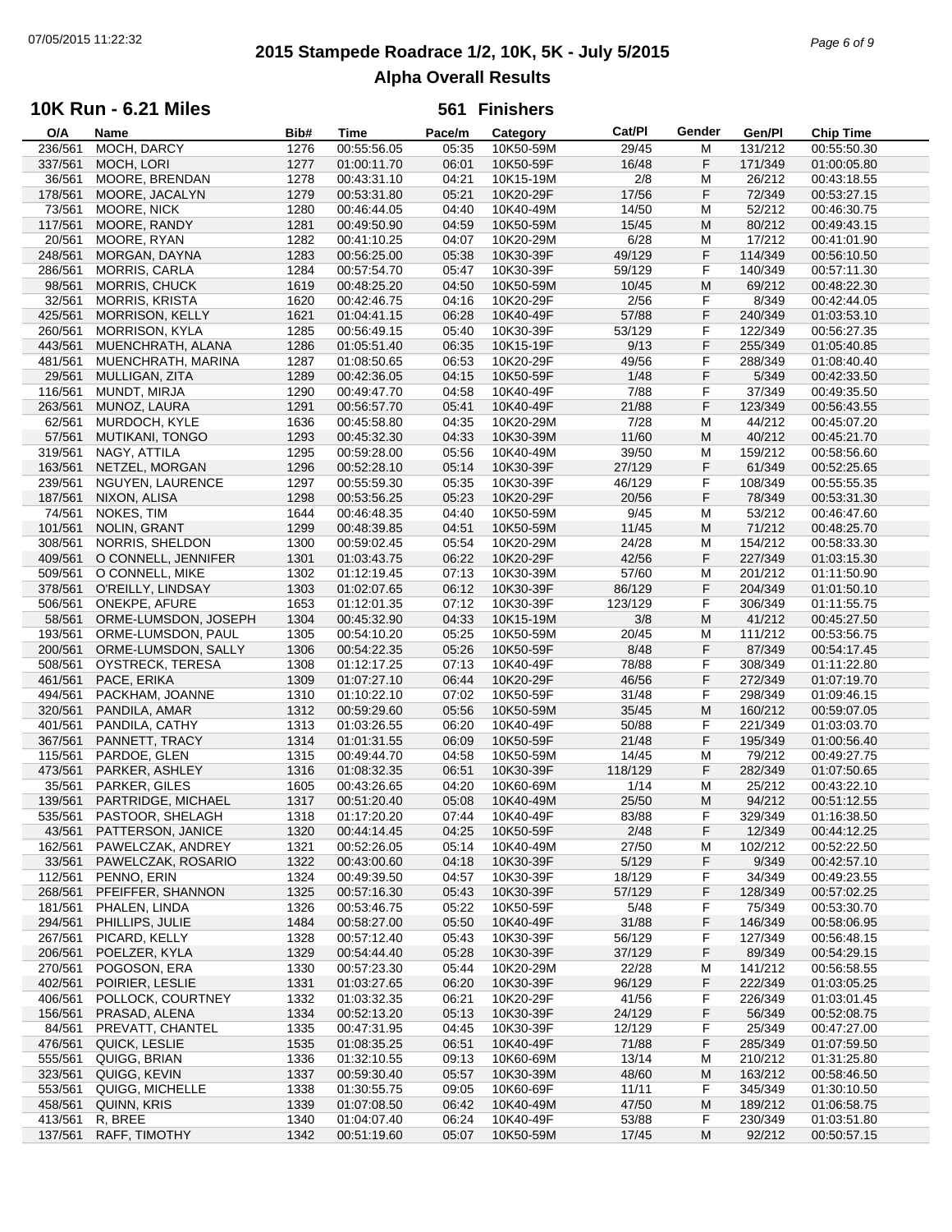# **2015 Stampede Roadrace 1/2, 10K, 5K - July 5/2015** 07/05/2015 11:22:32 *Page 6 of 9* **Alpha Overall Results**

### **10K Run - 6.21 Miles**

| O/A     | Name                   | Bib# | Time        | Pace/m | Category  | Cat/PI  | Gender | Gen/Pl  | <b>Chip Time</b> |
|---------|------------------------|------|-------------|--------|-----------|---------|--------|---------|------------------|
| 236/561 | MOCH, DARCY            | 1276 | 00:55:56.05 | 05:35  | 10K50-59M | 29/45   | M      | 131/212 | 00:55:50.30      |
| 337/561 | MOCH, LORI             | 1277 | 01:00:11.70 | 06:01  | 10K50-59F | 16/48   | F      | 171/349 | 01:00:05.80      |
| 36/561  | MOORE, BRENDAN         | 1278 | 00:43:31.10 | 04:21  | 10K15-19M | 2/8     | М      | 26/212  | 00:43:18.55      |
| 178/561 | MOORE, JACALYN         | 1279 | 00:53:31.80 | 05:21  | 10K20-29F | 17/56   | F      | 72/349  | 00:53:27.15      |
|         | MOORE, NICK            | 1280 |             |        | 10K40-49M |         | M      |         | 00:46:30.75      |
| 73/561  |                        |      | 00:46:44.05 | 04:40  |           | 14/50   |        | 52/212  |                  |
| 117/561 | MOORE, RANDY           | 1281 | 00:49:50.90 | 04:59  | 10K50-59M | 15/45   | M      | 80/212  | 00:49:43.15      |
| 20/561  | MOORE, RYAN            | 1282 | 00:41:10.25 | 04:07  | 10K20-29M | 6/28    | M      | 17/212  | 00:41:01.90      |
| 248/561 | MORGAN, DAYNA          | 1283 | 00:56:25.00 | 05:38  | 10K30-39F | 49/129  | F      | 114/349 | 00:56:10.50      |
| 286/561 | MORRIS, CARLA          | 1284 | 00:57:54.70 | 05:47  | 10K30-39F | 59/129  | F      | 140/349 | 00:57:11.30      |
| 98/561  | MORRIS, CHUCK          | 1619 | 00:48:25.20 | 04:50  | 10K50-59M | 10/45   | M      | 69/212  | 00:48:22.30      |
| 32/561  | <b>MORRIS, KRISTA</b>  | 1620 | 00:42:46.75 | 04:16  | 10K20-29F | 2/56    | F      | 8/349   | 00:42:44.05      |
| 425/561 | <b>MORRISON, KELLY</b> | 1621 | 01:04:41.15 | 06:28  | 10K40-49F | 57/88   | F      | 240/349 | 01:03:53.10      |
| 260/561 | <b>MORRISON, KYLA</b>  | 1285 | 00:56:49.15 | 05:40  | 10K30-39F | 53/129  | F      | 122/349 | 00:56:27.35      |
|         |                        |      |             |        |           |         |        |         |                  |
| 443/561 | MUENCHRATH, ALANA      | 1286 | 01:05:51.40 | 06:35  | 10K15-19F | 9/13    | F      | 255/349 | 01:05:40.85      |
| 481/561 | MUENCHRATH, MARINA     | 1287 | 01:08:50.65 | 06:53  | 10K20-29F | 49/56   | F      | 288/349 | 01:08:40.40      |
| 29/561  | MULLIGAN, ZITA         | 1289 | 00:42:36.05 | 04:15  | 10K50-59F | 1/48    | F      | 5/349   | 00:42:33.50      |
| 116/561 | MUNDT, MIRJA           | 1290 | 00:49:47.70 | 04:58  | 10K40-49F | 7/88    | F      | 37/349  | 00:49:35.50      |
| 263/561 | MUNOZ, LAURA           | 1291 | 00:56:57.70 | 05:41  | 10K40-49F | 21/88   | F      | 123/349 | 00:56:43.55      |
| 62/561  | MURDOCH, KYLE          | 1636 | 00:45:58.80 | 04:35  | 10K20-29M | 7/28    | M      | 44/212  | 00:45:07.20      |
| 57/561  | <b>MUTIKANI, TONGO</b> | 1293 | 00:45:32.30 | 04:33  | 10K30-39M | 11/60   | M      | 40/212  | 00:45:21.70      |
| 319/561 | NAGY, ATTILA           | 1295 | 00:59:28.00 | 05:56  | 10K40-49M | 39/50   | М      | 159/212 | 00:58:56.60      |
| 163/561 | NETZEL, MORGAN         | 1296 | 00:52:28.10 | 05:14  | 10K30-39F | 27/129  | F      | 61/349  | 00:52:25.65      |
|         |                        |      |             |        |           |         |        |         |                  |
| 239/561 | NGUYEN, LAURENCE       | 1297 | 00:55:59.30 | 05:35  | 10K30-39F | 46/129  | F      | 108/349 | 00:55:55.35      |
| 187/561 | NIXON, ALISA           | 1298 | 00:53:56.25 | 05:23  | 10K20-29F | 20/56   | F      | 78/349  | 00:53:31.30      |
| 74/561  | NOKES, TIM             | 1644 | 00:46:48.35 | 04:40  | 10K50-59M | 9/45    | М      | 53/212  | 00:46:47.60      |
| 101/561 | <b>NOLIN, GRANT</b>    | 1299 | 00:48:39.85 | 04:51  | 10K50-59M | 11/45   | M      | 71/212  | 00:48:25.70      |
| 308/561 | NORRIS, SHELDON        | 1300 | 00:59:02.45 | 05:54  | 10K20-29M | 24/28   | M      | 154/212 | 00:58:33.30      |
| 409/561 | O CONNELL, JENNIFER    | 1301 | 01:03:43.75 | 06:22  | 10K20-29F | 42/56   | F      | 227/349 | 01:03:15.30      |
| 509/561 | O CONNELL, MIKE        | 1302 | 01:12:19.45 | 07:13  | 10K30-39M | 57/60   | М      | 201/212 | 01:11:50.90      |
| 378/561 | O'REILLY, LINDSAY      | 1303 | 01:02:07.65 | 06:12  | 10K30-39F | 86/129  | F      | 204/349 | 01:01:50.10      |
|         |                        |      |             | 07:12  |           |         |        |         |                  |
| 506/561 | ONEKPE, AFURE          | 1653 | 01:12:01.35 |        | 10K30-39F | 123/129 | F      | 306/349 | 01:11:55.75      |
| 58/561  | ORME-LUMSDON, JOSEPH   | 1304 | 00:45:32.90 | 04:33  | 10K15-19M | 3/8     | M      | 41/212  | 00:45:27.50      |
| 193/561 | ORME-LUMSDON, PAUL     | 1305 | 00:54:10.20 | 05:25  | 10K50-59M | 20/45   | М      | 111/212 | 00:53:56.75      |
| 200/561 | ORME-LUMSDON, SALLY    | 1306 | 00:54:22.35 | 05:26  | 10K50-59F | 8/48    | F      | 87/349  | 00:54:17.45      |
| 508/561 | OYSTRECK, TERESA       | 1308 | 01:12:17.25 | 07:13  | 10K40-49F | 78/88   | F      | 308/349 | 01:11:22.80      |
| 461/561 | PACE, ERIKA            | 1309 | 01:07:27.10 | 06:44  | 10K20-29F | 46/56   | F      | 272/349 | 01:07:19.70      |
| 494/561 | PACKHAM, JOANNE        | 1310 | 01:10:22.10 | 07:02  | 10K50-59F | 31/48   | F      | 298/349 | 01:09:46.15      |
| 320/561 | PANDILA, AMAR          | 1312 | 00:59:29.60 | 05:56  | 10K50-59M | 35/45   | M      | 160/212 | 00:59:07.05      |
| 401/561 | PANDILA, CATHY         | 1313 | 01:03:26.55 | 06:20  | 10K40-49F | 50/88   | F      | 221/349 | 01:03:03.70      |
| 367/561 | PANNETT, TRACY         | 1314 | 01:01:31.55 | 06:09  | 10K50-59F | 21/48   | F      | 195/349 | 01:00:56.40      |
|         |                        |      |             |        |           |         |        |         |                  |
| 115/561 | PARDOE, GLEN           | 1315 | 00:49:44.70 | 04:58  | 10K50-59M | 14/45   | М      | 79/212  | 00:49:27.75      |
| 473/561 | PARKER, ASHLEY         | 1316 | 01:08:32.35 | 06:51  | 10K30-39F | 118/129 | F      | 282/349 | 01:07:50.65      |
| 35/561  | PARKER, GILES          | 1605 | 00:43:26.65 | 04:20  | 10K60-69M | 1/14    | М      | 25/212  | 00:43:22.10      |
| 139/561 | PARTRIDGE, MICHAEL     | 1317 | 00:51:20.40 | 05:08  | 10K40-49M | 25/50   | M      | 94/212  | 00:51:12.55      |
| 535/561 | PASTOOR, SHELAGH       | 1318 | 01:17:20.20 | 07:44  | 10K40-49F | 83/88   | F      | 329/349 | 01:16:38.50      |
| 43/561  | PATTERSON, JANICE      | 1320 | 00:44:14.45 | 04:25  | 10K50-59F | 2/48    | F      | 12/349  | 00:44:12.25      |
| 162/561 | PAWELCZAK, ANDREY      | 1321 | 00:52:26.05 | 05:14  | 10K40-49M | 27/50   | M      | 102/212 | 00:52:22.50      |
| 33/561  | PAWELCZAK, ROSARIO     | 1322 | 00:43:00.60 | 04:18  | 10K30-39F | 5/129   | F      | 9/349   | 00:42:57.10      |
| 112/561 | PENNO, ERIN            | 1324 | 00:49:39.50 | 04:57  | 10K30-39F | 18/129  | F      | 34/349  | 00:49:23.55      |
| 268/561 | PFEIFFER, SHANNON      | 1325 | 00:57:16.30 | 05:43  | 10K30-39F | 57/129  | F      | 128/349 | 00:57:02.25      |
| 181/561 | PHALEN, LINDA          | 1326 |             | 05:22  | 10K50-59F | 5/48    | F      | 75/349  | 00:53:30.70      |
|         |                        |      | 00:53:46.75 |        |           |         |        |         |                  |
| 294/561 | PHILLIPS, JULIE        | 1484 | 00:58:27.00 | 05:50  | 10K40-49F | 31/88   | F      | 146/349 | 00:58:06.95      |
| 267/561 | PICARD, KELLY          | 1328 | 00:57:12.40 | 05:43  | 10K30-39F | 56/129  | F      | 127/349 | 00:56:48.15      |
| 206/561 | POELZER, KYLA          | 1329 | 00:54:44.40 | 05:28  | 10K30-39F | 37/129  | F      | 89/349  | 00:54:29.15      |
| 270/561 | POGOSON, ERA           | 1330 | 00:57:23.30 | 05:44  | 10K20-29M | 22/28   | M      | 141/212 | 00:56:58.55      |
| 402/561 | POIRIER, LESLIE        | 1331 | 01:03:27.65 | 06:20  | 10K30-39F | 96/129  | F      | 222/349 | 01:03:05.25      |
| 406/561 | POLLOCK, COURTNEY      | 1332 | 01:03:32.35 | 06:21  | 10K20-29F | 41/56   | F      | 226/349 | 01:03:01.45      |
| 156/561 | PRASAD, ALENA          | 1334 | 00:52:13.20 | 05:13  | 10K30-39F | 24/129  | F      | 56/349  | 00:52:08.75      |
| 84/561  | PREVATT, CHANTEL       | 1335 | 00:47:31.95 | 04:45  | 10K30-39F | 12/129  | F      | 25/349  | 00:47:27.00      |
| 476/561 | QUICK, LESLIE          | 1535 | 01:08:35.25 | 06:51  | 10K40-49F | 71/88   | F      | 285/349 | 01:07:59.50      |
| 555/561 | QUIGG, BRIAN           |      | 01:32:10.55 |        |           | 13/14   |        | 210/212 |                  |
|         |                        | 1336 |             | 09:13  | 10K60-69M |         | м      |         | 01:31:25.80      |
| 323/561 | QUIGG, KEVIN           | 1337 | 00:59:30.40 | 05:57  | 10K30-39M | 48/60   | м      | 163/212 | 00:58:46.50      |
| 553/561 | QUIGG, MICHELLE        | 1338 | 01:30:55.75 | 09:05  | 10K60-69F | 11/11   | F      | 345/349 | 01:30:10.50      |
| 458/561 | QUINN, KRIS            | 1339 | 01:07:08.50 | 06:42  | 10K40-49M | 47/50   | M      | 189/212 | 01:06:58.75      |
| 413/561 | R, BREE                | 1340 | 01:04:07.40 | 06:24  | 10K40-49F | 53/88   | F      | 230/349 | 01:03:51.80      |
| 137/561 | RAFF, TIMOTHY          | 1342 | 00:51:19.60 | 05:07  | 10K50-59M | 17/45   | M      | 92/212  | 00:50:57.15      |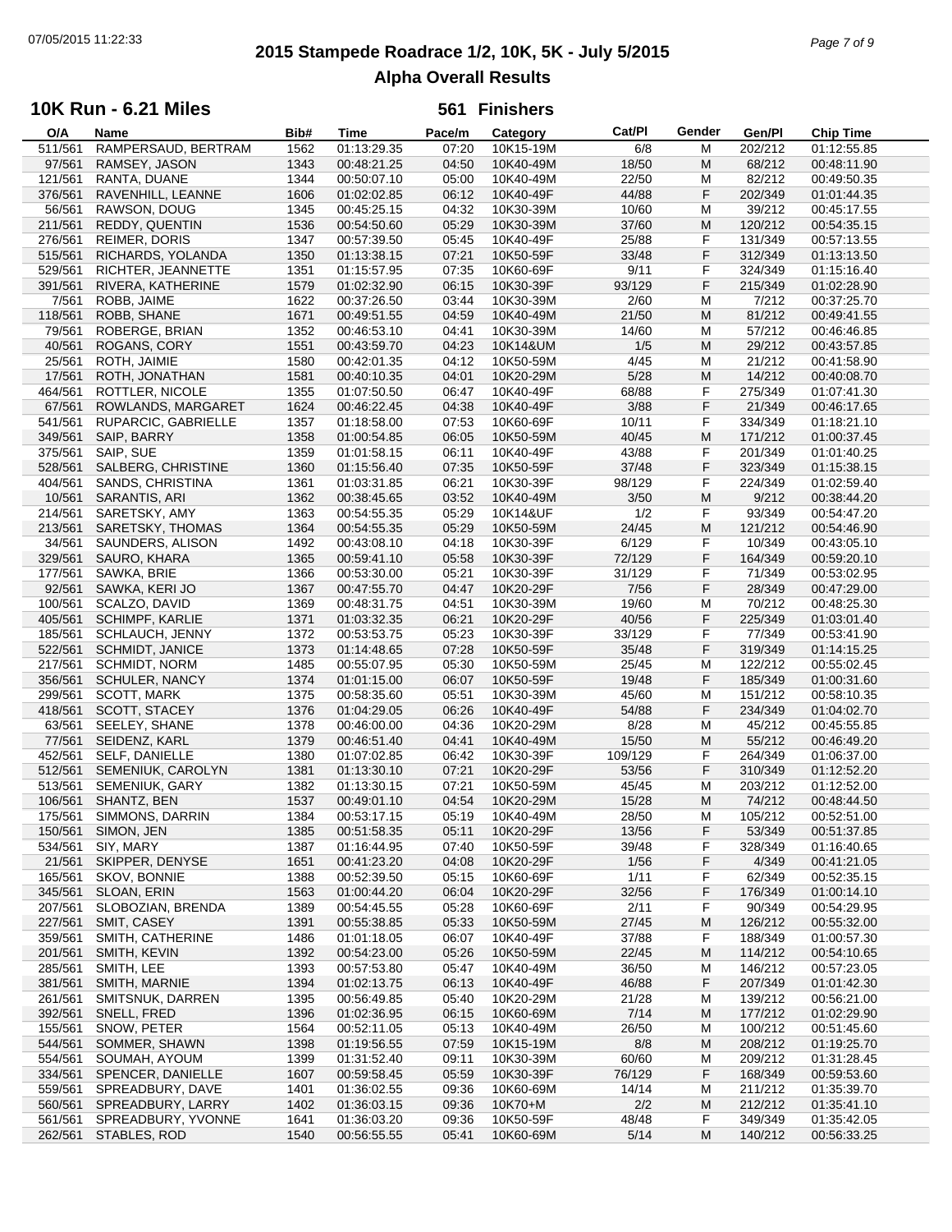# **2015 Stampede Roadrace 1/2, 10K, 5K - July 5/2015** 07/05/2015 11:22:33 *Page 7 of 9* **Alpha Overall Results**

### **10K Run - 6.21 Miles**

| O/A     | Name                   | Bib# | Time        | Pace/m | Category  | Cat/PI  | Gender | Gen/Pl  | <b>Chip Time</b> |
|---------|------------------------|------|-------------|--------|-----------|---------|--------|---------|------------------|
| 511/561 | RAMPERSAUD, BERTRAM    | 1562 | 01:13:29.35 | 07:20  | 10K15-19M | 6/8     | M      | 202/212 | 01:12:55.85      |
| 97/561  | RAMSEY, JASON          | 1343 | 00:48:21.25 | 04:50  | 10K40-49M | 18/50   | M      | 68/212  | 00:48:11.90      |
| 121/561 | RANTA, DUANE           | 1344 | 00:50:07.10 | 05:00  | 10K40-49M | 22/50   | М      | 82/212  | 00:49:50.35      |
| 376/561 | RAVENHILL, LEANNE      | 1606 | 01:02:02.85 | 06:12  | 10K40-49F | 44/88   | F      | 202/349 | 01:01:44.35      |
| 56/561  | RAWSON, DOUG           | 1345 | 00:45:25.15 | 04:32  | 10K30-39M | 10/60   | M      | 39/212  | 00:45:17.55      |
|         |                        |      |             |        |           |         |        |         |                  |
| 211/561 | REDDY, QUENTIN         | 1536 | 00:54:50.60 | 05:29  | 10K30-39M | 37/60   | M      | 120/212 | 00:54:35.15      |
| 276/561 | <b>REIMER, DORIS</b>   | 1347 | 00:57:39.50 | 05:45  | 10K40-49F | 25/88   | F      | 131/349 | 00:57:13.55      |
| 515/561 | RICHARDS, YOLANDA      | 1350 | 01:13:38.15 | 07:21  | 10K50-59F | 33/48   | F      | 312/349 | 01:13:13.50      |
| 529/561 | RICHTER, JEANNETTE     | 1351 | 01:15:57.95 | 07:35  | 10K60-69F | 9/11    | F      | 324/349 | 01:15:16.40      |
| 391/561 | RIVERA, KATHERINE      | 1579 | 01:02:32.90 | 06:15  | 10K30-39F | 93/129  | F      | 215/349 | 01:02:28.90      |
| 7/561   | ROBB, JAIME            | 1622 | 00:37:26.50 | 03:44  | 10K30-39M | 2/60    | М      | 7/212   | 00:37:25.70      |
| 118/561 | ROBB, SHANE            | 1671 | 00:49:51.55 | 04:59  | 10K40-49M | 21/50   | M      | 81/212  | 00:49:41.55      |
| 79/561  | ROBERGE, BRIAN         | 1352 | 00:46:53.10 | 04:41  | 10K30-39M | 14/60   | М      | 57/212  | 00:46:46.85      |
| 40/561  | ROGANS, CORY           | 1551 | 00:43:59.70 | 04:23  | 10K14&UM  | 1/5     | M      | 29/212  | 00:43:57.85      |
| 25/561  | ROTH, JAIMIE           | 1580 | 00:42:01.35 | 04:12  | 10K50-59M | 4/45    | M      | 21/212  | 00:41:58.90      |
|         |                        |      |             |        |           |         |        |         |                  |
| 17/561  | ROTH, JONATHAN         | 1581 | 00:40:10.35 | 04:01  | 10K20-29M | 5/28    | M      | 14/212  | 00:40:08.70      |
| 464/561 | ROTTLER, NICOLE        | 1355 | 01:07:50.50 | 06:47  | 10K40-49F | 68/88   | F      | 275/349 | 01:07:41.30      |
| 67/561  | ROWLANDS, MARGARET     | 1624 | 00:46:22.45 | 04:38  | 10K40-49F | 3/88    | F      | 21/349  | 00:46:17.65      |
| 541/561 | RUPARCIC, GABRIELLE    | 1357 | 01:18:58.00 | 07:53  | 10K60-69F | 10/11   | F      | 334/349 | 01:18:21.10      |
| 349/561 | SAIP, BARRY            | 1358 | 01:00:54.85 | 06:05  | 10K50-59M | 40/45   | M      | 171/212 | 01:00:37.45      |
| 375/561 | SAIP, SUE              | 1359 | 01:01:58.15 | 06:11  | 10K40-49F | 43/88   | F      | 201/349 | 01:01:40.25      |
| 528/561 | SALBERG, CHRISTINE     | 1360 | 01:15:56.40 | 07:35  | 10K50-59F | 37/48   | F      | 323/349 | 01:15:38.15      |
| 404/561 | SANDS, CHRISTINA       | 1361 | 01:03:31.85 | 06:21  | 10K30-39F | 98/129  | F      | 224/349 | 01:02:59.40      |
| 10/561  | SARANTIS, ARI          | 1362 | 00:38:45.65 | 03:52  | 10K40-49M | 3/50    | M      | 9/212   | 00:38:44.20      |
| 214/561 | SARETSKY, AMY          | 1363 | 00:54:55.35 | 05:29  | 10K14&UF  | 1/2     | F      | 93/349  | 00:54:47.20      |
|         |                        |      |             |        |           |         | M      |         | 00:54:46.90      |
| 213/561 | SARETSKY, THOMAS       | 1364 | 00:54:55.35 | 05:29  | 10K50-59M | 24/45   |        | 121/212 |                  |
| 34/561  | SAUNDERS, ALISON       | 1492 | 00:43:08.10 | 04:18  | 10K30-39F | 6/129   | F      | 10/349  | 00:43:05.10      |
| 329/561 | SAURO, KHARA           | 1365 | 00:59:41.10 | 05:58  | 10K30-39F | 72/129  | F      | 164/349 | 00:59:20.10      |
| 177/561 | SAWKA, BRIE            | 1366 | 00:53:30.00 | 05:21  | 10K30-39F | 31/129  | F      | 71/349  | 00:53:02.95      |
| 92/561  | SAWKA, KERI JO         | 1367 | 00:47:55.70 | 04:47  | 10K20-29F | 7/56    | F      | 28/349  | 00:47:29.00      |
| 100/561 | SCALZO, DAVID          | 1369 | 00:48:31.75 | 04:51  | 10K30-39M | 19/60   | M      | 70/212  | 00:48:25.30      |
| 405/561 | SCHIMPF, KARLIE        | 1371 | 01:03:32.35 | 06:21  | 10K20-29F | 40/56   | F      | 225/349 | 01:03:01.40      |
| 185/561 | SCHLAUCH, JENNY        | 1372 | 00:53:53.75 | 05:23  | 10K30-39F | 33/129  | F      | 77/349  | 00:53:41.90      |
| 522/561 | <b>SCHMIDT, JANICE</b> | 1373 | 01:14:48.65 | 07:28  | 10K50-59F | 35/48   | F      | 319/349 | 01:14:15.25      |
| 217/561 | <b>SCHMIDT, NORM</b>   | 1485 | 00:55:07.95 | 05:30  | 10K50-59M | 25/45   | М      | 122/212 | 00:55:02.45      |
| 356/561 | <b>SCHULER, NANCY</b>  | 1374 | 01:01:15.00 | 06:07  | 10K50-59F | 19/48   | F      | 185/349 | 01:00:31.60      |
| 299/561 | SCOTT, MARK            | 1375 | 00:58:35.60 | 05:51  | 10K30-39M | 45/60   | М      | 151/212 | 00:58:10.35      |
|         |                        |      |             |        |           |         | F      |         |                  |
| 418/561 | SCOTT, STACEY          | 1376 | 01:04:29.05 | 06:26  | 10K40-49F | 54/88   |        | 234/349 | 01:04:02.70      |
| 63/561  | SEELEY, SHANE          | 1378 | 00:46:00.00 | 04:36  | 10K20-29M | 8/28    | М      | 45/212  | 00:45:55.85      |
| 77/561  | SEIDENZ, KARL          | 1379 | 00:46:51.40 | 04:41  | 10K40-49M | 15/50   | M      | 55/212  | 00:46:49.20      |
| 452/561 | <b>SELF, DANIELLE</b>  | 1380 | 01:07:02.85 | 06:42  | 10K30-39F | 109/129 | F      | 264/349 | 01:06:37.00      |
| 512/561 | SEMENIUK, CAROLYN      | 1381 | 01:13:30.10 | 07:21  | 10K20-29F | 53/56   | F      | 310/349 | 01:12:52.20      |
| 513/561 | SEMENIUK, GARY         | 1382 | 01:13:30.15 | 07:21  | 10K50-59M | 45/45   | М      | 203/212 | 01:12:52.00      |
| 106/561 | SHANTZ, BEN            | 1537 | 00:49:01.10 | 04:54  | 10K20-29M | 15/28   | M      | 74/212  | 00:48:44.50      |
| 175/561 | SIMMONS, DARRIN        | 1384 | 00:53:17.15 | 05:19  | 10K40-49M | 28/50   | M      | 105/212 | 00:52:51.00      |
| 150/561 | SIMON, JEN             | 1385 | 00:51:58.35 | 05:11  | 10K20-29F | 13/56   | F      | 53/349  | 00:51:37.85      |
| 534/561 | SIY, MARY              | 1387 | 01:16:44.95 | 07:40  | 10K50-59F | 39/48   | F      | 328/349 | 01:16:40.65      |
| 21/561  | SKIPPER, DENYSE        | 1651 | 00:41:23.20 | 04:08  | 10K20-29F | 1/56    | F      | 4/349   | 00:41:21.05      |
| 165/561 | SKOV, BONNIE           | 1388 | 00:52:39.50 | 05:15  | 10K60-69F | 1/11    | F      | 62/349  | 00:52:35.15      |
| 345/561 | SLOAN, ERIN            | 1563 | 01:00:44.20 | 06:04  | 10K20-29F | 32/56   | F      | 176/349 | 01:00:14.10      |
|         |                        |      |             |        |           |         |        |         |                  |
| 207/561 | SLOBOZIAN, BRENDA      | 1389 | 00:54:45.55 | 05:28  | 10K60-69F | 2/11    | F      | 90/349  | 00:54:29.95      |
| 227/561 | SMIT, CASEY            | 1391 | 00:55:38.85 | 05:33  | 10K50-59M | 27/45   | M      | 126/212 | 00:55:32.00      |
| 359/561 | SMITH, CATHERINE       | 1486 | 01:01:18.05 | 06:07  | 10K40-49F | 37/88   | F      | 188/349 | 01:00:57.30      |
| 201/561 | SMITH, KEVIN           | 1392 | 00:54:23.00 | 05:26  | 10K50-59M | 22/45   | M      | 114/212 | 00:54:10.65      |
| 285/561 | SMITH, LEE             | 1393 | 00:57:53.80 | 05:47  | 10K40-49M | 36/50   | M      | 146/212 | 00:57:23.05      |
| 381/561 | SMITH, MARNIE          | 1394 | 01:02:13.75 | 06:13  | 10K40-49F | 46/88   | F      | 207/349 | 01:01:42.30      |
| 261/561 | SMITSNUK, DARREN       | 1395 | 00:56:49.85 | 05:40  | 10K20-29M | 21/28   | м      | 139/212 | 00:56:21.00      |
| 392/561 | SNELL, FRED            | 1396 | 01:02:36.95 | 06:15  | 10K60-69M | 7/14    | M      | 177/212 | 01:02:29.90      |
| 155/561 | SNOW, PETER            | 1564 | 00:52:11.05 | 05:13  | 10K40-49M | 26/50   | M      | 100/212 | 00:51:45.60      |
| 544/561 | SOMMER, SHAWN          | 1398 | 01:19:56.55 | 07:59  | 10K15-19M | 8/8     | M      | 208/212 | 01:19:25.70      |
| 554/561 | SOUMAH, AYOUM          | 1399 | 01:31:52.40 | 09:11  | 10K30-39M | 60/60   | м      | 209/212 | 01:31:28.45      |
| 334/561 | SPENCER, DANIELLE      | 1607 | 00:59:58.45 | 05:59  | 10K30-39F | 76/129  | F      | 168/349 | 00:59:53.60      |
| 559/561 | SPREADBURY, DAVE       |      |             | 09:36  | 10K60-69M | 14/14   |        | 211/212 | 01:35:39.70      |
|         |                        | 1401 | 01:36:02.55 |        |           |         | M      |         |                  |
| 560/561 | SPREADBURY, LARRY      | 1402 | 01:36:03.15 | 09:36  | 10K70+M   | 2/2     | M      | 212/212 | 01:35:41.10      |
| 561/561 | SPREADBURY, YVONNE     | 1641 | 01:36:03.20 | 09:36  | 10K50-59F | 48/48   | F      | 349/349 | 01:35:42.05      |
| 262/561 | STABLES, ROD           | 1540 | 00:56:55.55 | 05:41  | 10K60-69M | 5/14    | M      | 140/212 | 00:56:33.25      |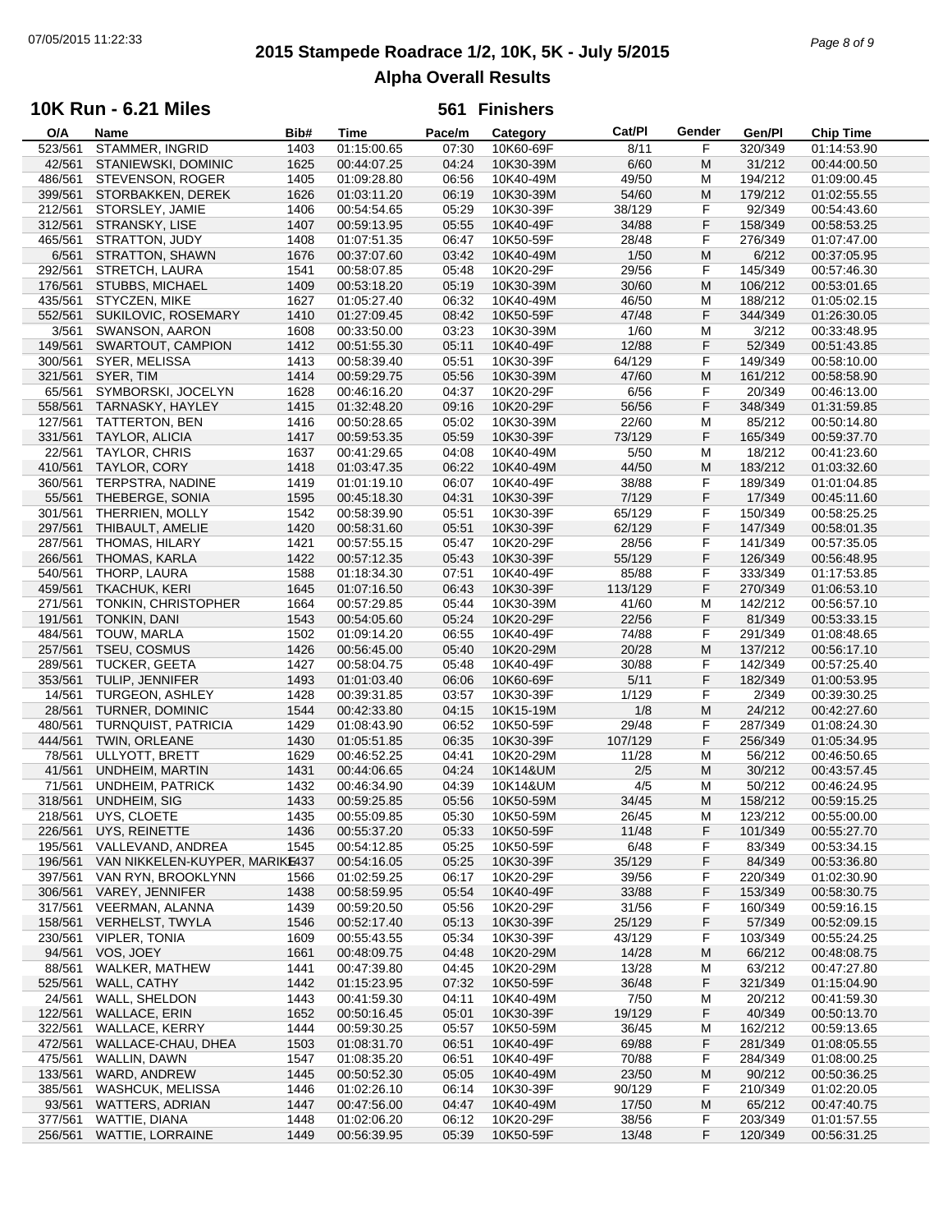# **2015 Stampede Roadrace 1/2, 10K, 5K - July 5/2015** 07/05/2015 11:22:33 *Page 8 of 9* **Alpha Overall Results**

## **10K Run - 6.21 Miles**

| O/A     | Name                           | Bib# | Time        | Pace/m | Category  | Cat/PI  | Gender | Gen/Pl  | <b>Chip Time</b> |
|---------|--------------------------------|------|-------------|--------|-----------|---------|--------|---------|------------------|
| 523/561 | STAMMER, INGRID                | 1403 | 01:15:00.65 | 07:30  | 10K60-69F | 8/11    | F      | 320/349 | 01:14:53.90      |
| 42/561  | STANIEWSKI, DOMINIC            | 1625 | 00:44:07.25 | 04:24  | 10K30-39M | 6/60    | M      | 31/212  | 00:44:00.50      |
| 486/561 | STEVENSON, ROGER               | 1405 | 01:09:28.80 | 06:56  | 10K40-49M | 49/50   | М      | 194/212 | 01:09:00.45      |
| 399/561 | STORBAKKEN, DEREK              | 1626 | 01:03:11.20 | 06:19  | 10K30-39M | 54/60   | M      | 179/212 | 01:02:55.55      |
| 212/561 | STORSLEY, JAMIE                | 1406 | 00:54:54.65 | 05:29  | 10K30-39F | 38/129  | F      | 92/349  | 00:54:43.60      |
|         |                                |      |             |        |           |         |        | 158/349 |                  |
| 312/561 | STRANSKY, LISE                 | 1407 | 00:59:13.95 | 05:55  | 10K40-49F | 34/88   | F      |         | 00:58:53.25      |
| 465/561 | STRATTON, JUDY                 | 1408 | 01:07:51.35 | 06:47  | 10K50-59F | 28/48   | F      | 276/349 | 01:07:47.00      |
| 6/561   | STRATTON, SHAWN                | 1676 | 00:37:07.60 | 03:42  | 10K40-49M | 1/50    | M      | 6/212   | 00:37:05.95      |
| 292/561 | STRETCH, LAURA                 | 1541 | 00:58:07.85 | 05:48  | 10K20-29F | 29/56   | F      | 145/349 | 00:57:46.30      |
| 176/561 | STUBBS, MICHAEL                | 1409 | 00:53:18.20 | 05:19  | 10K30-39M | 30/60   | M      | 106/212 | 00:53:01.65      |
| 435/561 | STYCZEN, MIKE                  | 1627 | 01:05:27.40 | 06:32  | 10K40-49M | 46/50   | M      | 188/212 | 01:05:02.15      |
| 552/561 | SUKILOVIC, ROSEMARY            | 1410 | 01:27:09.45 | 08:42  | 10K50-59F | 47/48   | F      | 344/349 | 01:26:30.05      |
| 3/561   | SWANSON, AARON                 | 1608 | 00:33:50.00 | 03:23  | 10K30-39M | 1/60    | M      | 3/212   | 00:33:48.95      |
| 149/561 | SWARTOUT, CAMPION              | 1412 | 00:51:55.30 | 05:11  | 10K40-49F | 12/88   | F      | 52/349  | 00:51:43.85      |
|         |                                |      |             |        |           |         |        |         |                  |
| 300/561 | SYER, MELISSA                  | 1413 | 00:58:39.40 | 05:51  | 10K30-39F | 64/129  | F      | 149/349 | 00:58:10.00      |
| 321/561 | SYER, TIM                      | 1414 | 00:59:29.75 | 05:56  | 10K30-39M | 47/60   | M      | 161/212 | 00:58:58.90      |
| 65/561  | SYMBORSKI, JOCELYN             | 1628 | 00:46:16.20 | 04:37  | 10K20-29F | 6/56    | F      | 20/349  | 00:46:13.00      |
| 558/561 | TARNASKY, HAYLEY               | 1415 | 01:32:48.20 | 09:16  | 10K20-29F | 56/56   | F      | 348/349 | 01:31:59.85      |
| 127/561 | <b>TATTERTON, BEN</b>          | 1416 | 00:50:28.65 | 05:02  | 10K30-39M | 22/60   | М      | 85/212  | 00:50:14.80      |
| 331/561 | <b>TAYLOR, ALICIA</b>          | 1417 | 00:59:53.35 | 05:59  | 10K30-39F | 73/129  | F      | 165/349 | 00:59:37.70      |
| 22/561  | <b>TAYLOR, CHRIS</b>           | 1637 | 00:41:29.65 | 04:08  | 10K40-49M | 5/50    | M      | 18/212  | 00:41:23.60      |
| 410/561 | TAYLOR, CORY                   | 1418 | 01:03:47.35 | 06:22  | 10K40-49M | 44/50   | M      | 183/212 | 01:03:32.60      |
| 360/561 | TERPSTRA, NADINE               | 1419 | 01:01:19.10 | 06:07  | 10K40-49F | 38/88   | F      | 189/349 | 01:01:04.85      |
|         |                                |      |             |        |           |         |        |         |                  |
| 55/561  | THEBERGE, SONIA                | 1595 | 00:45:18.30 | 04:31  | 10K30-39F | 7/129   | F      | 17/349  | 00:45:11.60      |
| 301/561 | THERRIEN, MOLLY                | 1542 | 00:58:39.90 | 05:51  | 10K30-39F | 65/129  | F      | 150/349 | 00:58:25.25      |
| 297/561 | THIBAULT, AMELIE               | 1420 | 00:58:31.60 | 05:51  | 10K30-39F | 62/129  | F      | 147/349 | 00:58:01.35      |
| 287/561 | THOMAS, HILARY                 | 1421 | 00:57:55.15 | 05:47  | 10K20-29F | 28/56   | F      | 141/349 | 00:57:35.05      |
| 266/561 | THOMAS, KARLA                  | 1422 | 00:57:12.35 | 05:43  | 10K30-39F | 55/129  | F      | 126/349 | 00:56:48.95      |
| 540/561 | THORP, LAURA                   | 1588 | 01:18:34.30 | 07:51  | 10K40-49F | 85/88   | F      | 333/349 | 01:17:53.85      |
| 459/561 | TKACHUK, KERI                  | 1645 | 01:07:16.50 | 06:43  | 10K30-39F | 113/129 | F      | 270/349 | 01:06:53.10      |
| 271/561 | TONKIN, CHRISTOPHER            | 1664 | 00:57:29.85 | 05:44  | 10K30-39M | 41/60   | M      | 142/212 | 00:56:57.10      |
| 191/561 | TONKIN, DANI                   | 1543 | 00:54:05.60 | 05:24  | 10K20-29F | 22/56   | F      | 81/349  | 00:53:33.15      |
| 484/561 | TOUW, MARLA                    | 1502 | 01:09:14.20 | 06:55  | 10K40-49F | 74/88   | F      | 291/349 | 01:08:48.65      |
| 257/561 | <b>TSEU, COSMUS</b>            | 1426 | 00:56:45.00 | 05:40  | 10K20-29M | 20/28   | M      | 137/212 | 00:56:17.10      |
| 289/561 | <b>TUCKER, GEETA</b>           | 1427 | 00:58:04.75 | 05:48  | 10K40-49F | 30/88   | F      | 142/349 | 00:57:25.40      |
|         |                                |      |             |        |           |         | F      |         |                  |
| 353/561 | TULIP, JENNIFER                | 1493 | 01:01:03.40 | 06:06  | 10K60-69F | 5/11    |        | 182/349 | 01:00:53.95      |
| 14/561  | <b>TURGEON, ASHLEY</b>         | 1428 | 00:39:31.85 | 03:57  | 10K30-39F | 1/129   | F      | 2/349   | 00:39:30.25      |
| 28/561  | <b>TURNER, DOMINIC</b>         | 1544 | 00:42:33.80 | 04:15  | 10K15-19M | 1/8     | M      | 24/212  | 00:42:27.60      |
| 480/561 | <b>TURNQUIST, PATRICIA</b>     | 1429 | 01:08:43.90 | 06:52  | 10K50-59F | 29/48   | F      | 287/349 | 01:08:24.30      |
| 444/561 | TWIN, ORLEANE                  | 1430 | 01:05:51.85 | 06:35  | 10K30-39F | 107/129 | F      | 256/349 | 01:05:34.95      |
| 78/561  | ULLYOTT, BRETT                 | 1629 | 00:46:52.25 | 04:41  | 10K20-29M | 11/28   | М      | 56/212  | 00:46:50.65      |
| 41/561  | UNDHEIM, MARTIN                | 1431 | 00:44:06.65 | 04:24  | 10K14&UM  | 2/5     | M      | 30/212  | 00:43:57.45      |
| 71/561  | <b>UNDHEIM, PATRICK</b>        | 1432 | 00:46:34.90 | 04:39  | 10K14&UM  | 4/5     | М      | 50/212  | 00:46:24.95      |
| 318/561 | UNDHEIM, SIG                   | 1433 | 00:59:25.85 | 05:56  | 10K50-59M | 34/45   | M      | 158/212 | 00:59:15.25      |
| 218/561 | UYS, CLOETE                    | 1435 | 00:55:09.85 | 05:30  | 10K50-59M | 26/45   | M      | 123/212 | 00:55:00.00      |
| 226/561 | UYS, REINETTE                  | 1436 | 00:55:37.20 | 05:33  | 10K50-59F | 11/48   | F      | 101/349 | 00:55:27.70      |
| 195/561 | VALLEVAND, ANDREA              | 1545 | 00:54:12.85 | 05:25  | 10K50-59F | 6/48    | F      | 83/349  | 00:53:34.15      |
|         |                                |      |             |        |           | 35/129  |        |         |                  |
| 196/561 | VAN NIKKELEN-KUYPER, MARIKE437 |      | 00:54:16.05 | 05:25  | 10K30-39F |         | F      | 84/349  | 00:53:36.80      |
| 397/561 | VAN RYN, BROOKLYNN             | 1566 | 01:02:59.25 | 06:17  | 10K20-29F | 39/56   | F      | 220/349 | 01:02:30.90      |
| 306/561 | VAREY, JENNIFER                | 1438 | 00:58:59.95 | 05:54  | 10K40-49F | 33/88   | F      | 153/349 | 00:58:30.75      |
| 317/561 | VEERMAN, ALANNA                | 1439 | 00:59:20.50 | 05:56  | 10K20-29F | 31/56   | F      | 160/349 | 00:59:16.15      |
| 158/561 | VERHELST, TWYLA                | 1546 | 00:52:17.40 | 05:13  | 10K30-39F | 25/129  | F      | 57/349  | 00:52:09.15      |
| 230/561 | <b>VIPLER, TONIA</b>           | 1609 | 00:55:43.55 | 05:34  | 10K30-39F | 43/129  | F      | 103/349 | 00:55:24.25      |
| 94/561  | VOS, JOEY                      | 1661 | 00:48:09.75 | 04:48  | 10K20-29M | 14/28   | M      | 66/212  | 00:48:08.75      |
| 88/561  | WALKER, MATHEW                 | 1441 | 00:47:39.80 | 04:45  | 10K20-29M | 13/28   | M      | 63/212  | 00:47:27.80      |
| 525/561 | WALL, CATHY                    | 1442 | 01:15:23.95 | 07:32  | 10K50-59F | 36/48   | F      | 321/349 | 01:15:04.90      |
| 24/561  | WALL, SHELDON                  | 1443 | 00:41:59.30 | 04:11  | 10K40-49M | 7/50    | M      | 20/212  | 00:41:59.30      |
| 122/561 | <b>WALLACE, ERIN</b>           | 1652 | 00:50:16.45 | 05:01  | 10K30-39F | 19/129  | F      | 40/349  | 00:50:13.70      |
| 322/561 | WALLACE, KERRY                 | 1444 |             | 05:57  |           | 36/45   |        | 162/212 |                  |
|         |                                |      | 00:59:30.25 |        | 10K50-59M |         | M      |         | 00:59:13.65      |
| 472/561 | WALLACE-CHAU, DHEA             | 1503 | 01:08:31.70 | 06:51  | 10K40-49F | 69/88   | F      | 281/349 | 01:08:05.55      |
| 475/561 | WALLIN, DAWN                   | 1547 | 01:08:35.20 | 06:51  | 10K40-49F | 70/88   | F      | 284/349 | 01:08:00.25      |
| 133/561 | WARD, ANDREW                   | 1445 | 00:50:52.30 | 05:05  | 10K40-49M | 23/50   | м      | 90/212  | 00:50:36.25      |
| 385/561 | <b>WASHCUK, MELISSA</b>        | 1446 | 01:02:26.10 | 06:14  | 10K30-39F | 90/129  | F      | 210/349 | 01:02:20.05      |
| 93/561  | <b>WATTERS, ADRIAN</b>         | 1447 | 00:47:56.00 | 04:47  | 10K40-49M | 17/50   | M      | 65/212  | 00:47:40.75      |
| 377/561 | WATTIE, DIANA                  | 1448 | 01:02:06.20 | 06:12  | 10K20-29F | 38/56   | F      | 203/349 | 01:01:57.55      |
| 256/561 | WATTIE, LORRAINE               | 1449 | 00:56:39.95 | 05:39  | 10K50-59F | 13/48   | F      | 120/349 | 00:56:31.25      |